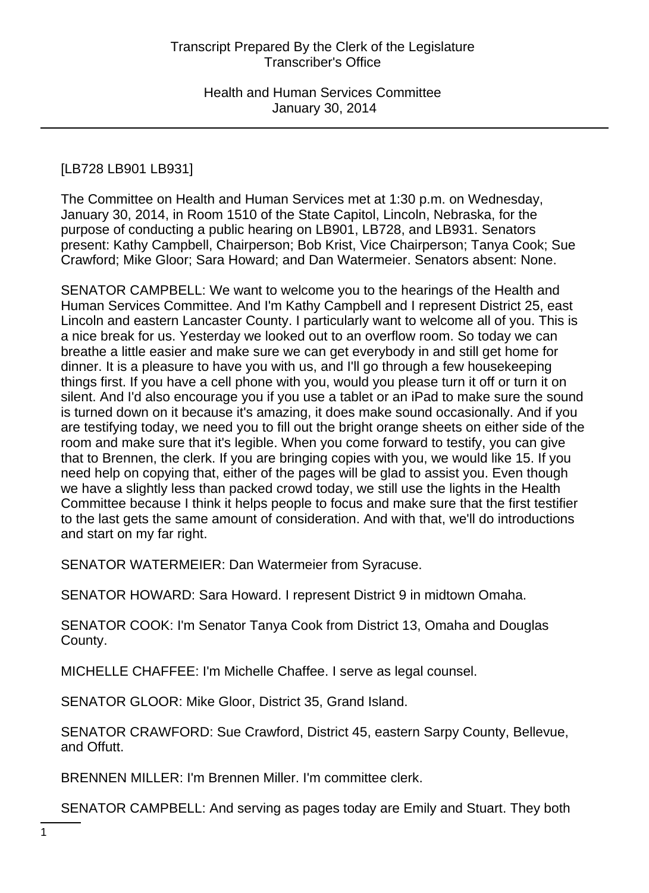# [LB728 LB901 LB931]

The Committee on Health and Human Services met at 1:30 p.m. on Wednesday, January 30, 2014, in Room 1510 of the State Capitol, Lincoln, Nebraska, for the purpose of conducting a public hearing on LB901, LB728, and LB931. Senators present: Kathy Campbell, Chairperson; Bob Krist, Vice Chairperson; Tanya Cook; Sue Crawford; Mike Gloor; Sara Howard; and Dan Watermeier. Senators absent: None.

SENATOR CAMPBELL: We want to welcome you to the hearings of the Health and Human Services Committee. And I'm Kathy Campbell and I represent District 25, east Lincoln and eastern Lancaster County. I particularly want to welcome all of you. This is a nice break for us. Yesterday we looked out to an overflow room. So today we can breathe a little easier and make sure we can get everybody in and still get home for dinner. It is a pleasure to have you with us, and I'll go through a few housekeeping things first. If you have a cell phone with you, would you please turn it off or turn it on silent. And I'd also encourage you if you use a tablet or an iPad to make sure the sound is turned down on it because it's amazing, it does make sound occasionally. And if you are testifying today, we need you to fill out the bright orange sheets on either side of the room and make sure that it's legible. When you come forward to testify, you can give that to Brennen, the clerk. If you are bringing copies with you, we would like 15. If you need help on copying that, either of the pages will be glad to assist you. Even though we have a slightly less than packed crowd today, we still use the lights in the Health Committee because I think it helps people to focus and make sure that the first testifier to the last gets the same amount of consideration. And with that, we'll do introductions and start on my far right.

SENATOR WATERMEIER: Dan Watermeier from Syracuse.

SENATOR HOWARD: Sara Howard. I represent District 9 in midtown Omaha.

SENATOR COOK: I'm Senator Tanya Cook from District 13, Omaha and Douglas County.

MICHELLE CHAFFEE: I'm Michelle Chaffee. I serve as legal counsel.

SENATOR GLOOR: Mike Gloor, District 35, Grand Island.

SENATOR CRAWFORD: Sue Crawford, District 45, eastern Sarpy County, Bellevue, and Offutt.

BRENNEN MILLER: I'm Brennen Miller. I'm committee clerk.

SENATOR CAMPBELL: And serving as pages today are Emily and Stuart. They both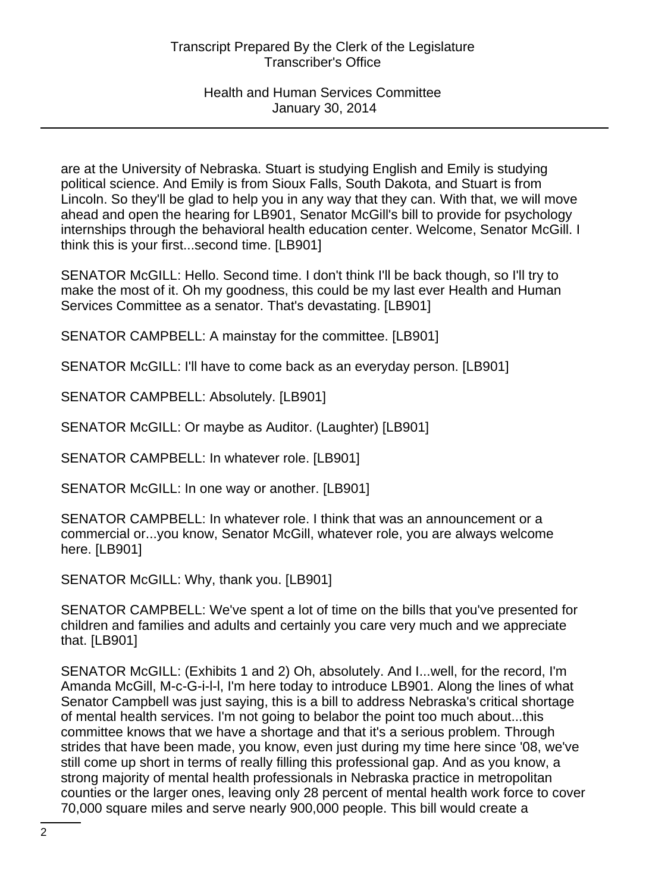are at the University of Nebraska. Stuart is studying English and Emily is studying political science. And Emily is from Sioux Falls, South Dakota, and Stuart is from Lincoln. So they'll be glad to help you in any way that they can. With that, we will move ahead and open the hearing for LB901, Senator McGill's bill to provide for psychology internships through the behavioral health education center. Welcome, Senator McGill. I think this is your first...second time. [LB901]

SENATOR McGILL: Hello. Second time. I don't think I'll be back though, so I'll try to make the most of it. Oh my goodness, this could be my last ever Health and Human Services Committee as a senator. That's devastating. [LB901]

SENATOR CAMPBELL: A mainstay for the committee. [LB901]

SENATOR McGILL: I'll have to come back as an everyday person. [LB901]

SENATOR CAMPBELL: Absolutely. [LB901]

SENATOR McGILL: Or maybe as Auditor. (Laughter) [LB901]

SENATOR CAMPBELL: In whatever role. [LB901]

SENATOR McGILL: In one way or another. [LB901]

SENATOR CAMPBELL: In whatever role. I think that was an announcement or a commercial or...you know, Senator McGill, whatever role, you are always welcome here. [LB901]

SENATOR McGILL: Why, thank you. [LB901]

SENATOR CAMPBELL: We've spent a lot of time on the bills that you've presented for children and families and adults and certainly you care very much and we appreciate that. [LB901]

SENATOR McGILL: (Exhibits 1 and 2) Oh, absolutely. And I...well, for the record, I'm Amanda McGill, M-c-G-i-l-l, I'm here today to introduce LB901. Along the lines of what Senator Campbell was just saying, this is a bill to address Nebraska's critical shortage of mental health services. I'm not going to belabor the point too much about...this committee knows that we have a shortage and that it's a serious problem. Through strides that have been made, you know, even just during my time here since '08, we've still come up short in terms of really filling this professional gap. And as you know, a strong majority of mental health professionals in Nebraska practice in metropolitan counties or the larger ones, leaving only 28 percent of mental health work force to cover 70,000 square miles and serve nearly 900,000 people. This bill would create a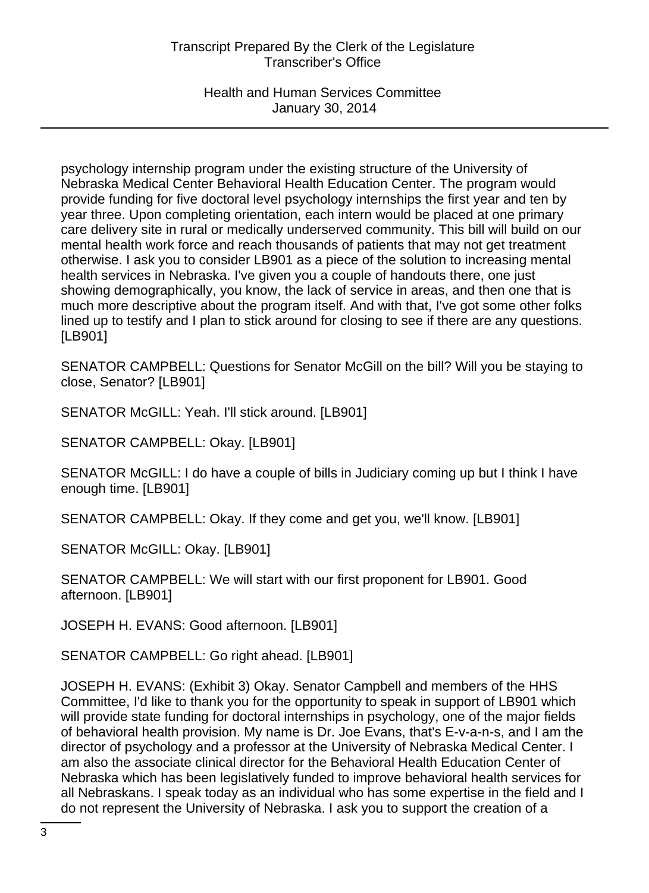Health and Human Services Committee January 30, 2014

psychology internship program under the existing structure of the University of Nebraska Medical Center Behavioral Health Education Center. The program would provide funding for five doctoral level psychology internships the first year and ten by year three. Upon completing orientation, each intern would be placed at one primary care delivery site in rural or medically underserved community. This bill will build on our mental health work force and reach thousands of patients that may not get treatment otherwise. I ask you to consider LB901 as a piece of the solution to increasing mental health services in Nebraska. I've given you a couple of handouts there, one just showing demographically, you know, the lack of service in areas, and then one that is much more descriptive about the program itself. And with that, I've got some other folks lined up to testify and I plan to stick around for closing to see if there are any questions. [LB901]

SENATOR CAMPBELL: Questions for Senator McGill on the bill? Will you be staying to close, Senator? [LB901]

SENATOR McGILL: Yeah. I'll stick around. [LB901]

SENATOR CAMPBELL: Okay. [LB901]

SENATOR McGILL: I do have a couple of bills in Judiciary coming up but I think I have enough time. [LB901]

SENATOR CAMPBELL: Okay. If they come and get you, we'll know. [LB901]

SENATOR McGILL: Okay. [LB901]

SENATOR CAMPBELL: We will start with our first proponent for LB901. Good afternoon. [LB901]

JOSEPH H. EVANS: Good afternoon. [LB901]

SENATOR CAMPBELL: Go right ahead. [LB901]

JOSEPH H. EVANS: (Exhibit 3) Okay. Senator Campbell and members of the HHS Committee, I'd like to thank you for the opportunity to speak in support of LB901 which will provide state funding for doctoral internships in psychology, one of the major fields of behavioral health provision. My name is Dr. Joe Evans, that's E-v-a-n-s, and I am the director of psychology and a professor at the University of Nebraska Medical Center. I am also the associate clinical director for the Behavioral Health Education Center of Nebraska which has been legislatively funded to improve behavioral health services for all Nebraskans. I speak today as an individual who has some expertise in the field and I do not represent the University of Nebraska. I ask you to support the creation of a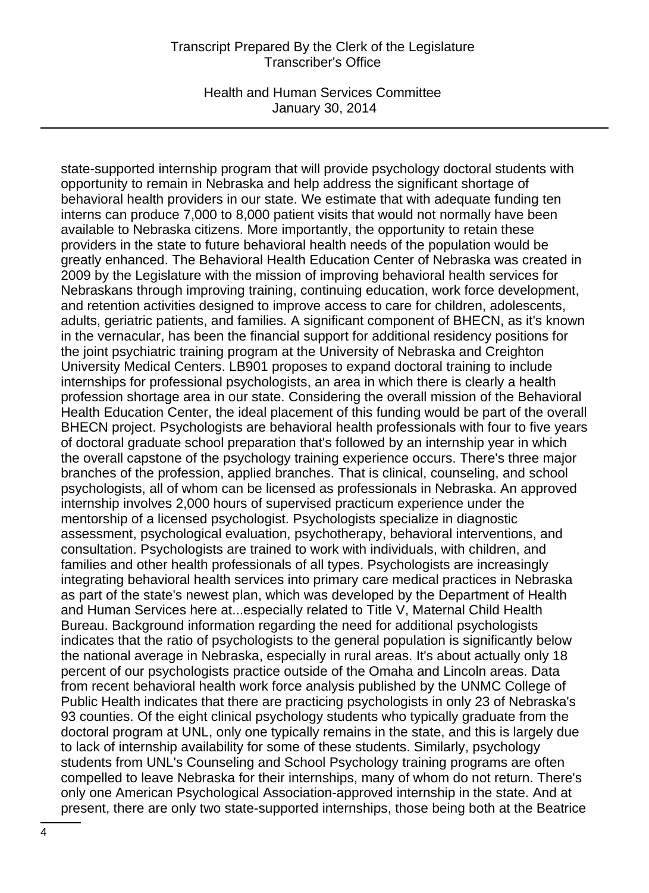Health and Human Services Committee January 30, 2014

state-supported internship program that will provide psychology doctoral students with opportunity to remain in Nebraska and help address the significant shortage of behavioral health providers in our state. We estimate that with adequate funding ten interns can produce 7,000 to 8,000 patient visits that would not normally have been available to Nebraska citizens. More importantly, the opportunity to retain these providers in the state to future behavioral health needs of the population would be greatly enhanced. The Behavioral Health Education Center of Nebraska was created in 2009 by the Legislature with the mission of improving behavioral health services for Nebraskans through improving training, continuing education, work force development, and retention activities designed to improve access to care for children, adolescents, adults, geriatric patients, and families. A significant component of BHECN, as it's known in the vernacular, has been the financial support for additional residency positions for the joint psychiatric training program at the University of Nebraska and Creighton University Medical Centers. LB901 proposes to expand doctoral training to include internships for professional psychologists, an area in which there is clearly a health profession shortage area in our state. Considering the overall mission of the Behavioral Health Education Center, the ideal placement of this funding would be part of the overall BHECN project. Psychologists are behavioral health professionals with four to five years of doctoral graduate school preparation that's followed by an internship year in which the overall capstone of the psychology training experience occurs. There's three major branches of the profession, applied branches. That is clinical, counseling, and school psychologists, all of whom can be licensed as professionals in Nebraska. An approved internship involves 2,000 hours of supervised practicum experience under the mentorship of a licensed psychologist. Psychologists specialize in diagnostic assessment, psychological evaluation, psychotherapy, behavioral interventions, and consultation. Psychologists are trained to work with individuals, with children, and families and other health professionals of all types. Psychologists are increasingly integrating behavioral health services into primary care medical practices in Nebraska as part of the state's newest plan, which was developed by the Department of Health and Human Services here at...especially related to Title V, Maternal Child Health Bureau. Background information regarding the need for additional psychologists indicates that the ratio of psychologists to the general population is significantly below the national average in Nebraska, especially in rural areas. It's about actually only 18 percent of our psychologists practice outside of the Omaha and Lincoln areas. Data from recent behavioral health work force analysis published by the UNMC College of Public Health indicates that there are practicing psychologists in only 23 of Nebraska's 93 counties. Of the eight clinical psychology students who typically graduate from the doctoral program at UNL, only one typically remains in the state, and this is largely due to lack of internship availability for some of these students. Similarly, psychology students from UNL's Counseling and School Psychology training programs are often compelled to leave Nebraska for their internships, many of whom do not return. There's only one American Psychological Association-approved internship in the state. And at present, there are only two state-supported internships, those being both at the Beatrice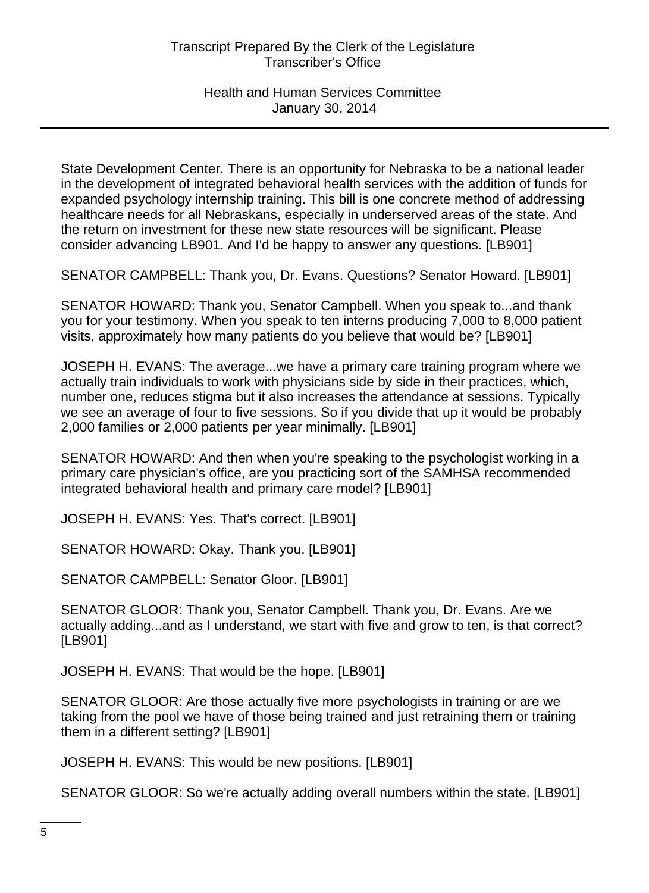State Development Center. There is an opportunity for Nebraska to be a national leader in the development of integrated behavioral health services with the addition of funds for expanded psychology internship training. This bill is one concrete method of addressing healthcare needs for all Nebraskans, especially in underserved areas of the state. And the return on investment for these new state resources will be significant. Please consider advancing LB901. And I'd be happy to answer any questions. [LB901]

SENATOR CAMPBELL: Thank you, Dr. Evans. Questions? Senator Howard. [LB901]

SENATOR HOWARD: Thank you, Senator Campbell. When you speak to...and thank you for your testimony. When you speak to ten interns producing 7,000 to 8,000 patient visits, approximately how many patients do you believe that would be? [LB901]

JOSEPH H. EVANS: The average...we have a primary care training program where we actually train individuals to work with physicians side by side in their practices, which, number one, reduces stigma but it also increases the attendance at sessions. Typically we see an average of four to five sessions. So if you divide that up it would be probably 2,000 families or 2,000 patients per year minimally. [LB901]

SENATOR HOWARD: And then when you're speaking to the psychologist working in a primary care physician's office, are you practicing sort of the SAMHSA recommended integrated behavioral health and primary care model? [LB901]

JOSEPH H. EVANS: Yes. That's correct. [LB901]

SENATOR HOWARD: Okay. Thank you. [LB901]

SENATOR CAMPBELL: Senator Gloor. [LB901]

SENATOR GLOOR: Thank you, Senator Campbell. Thank you, Dr. Evans. Are we actually adding...and as I understand, we start with five and grow to ten, is that correct? [LB901]

JOSEPH H. EVANS: That would be the hope. [LB901]

SENATOR GLOOR: Are those actually five more psychologists in training or are we taking from the pool we have of those being trained and just retraining them or training them in a different setting? [LB901]

JOSEPH H. EVANS: This would be new positions. [LB901]

SENATOR GLOOR: So we're actually adding overall numbers within the state. [LB901]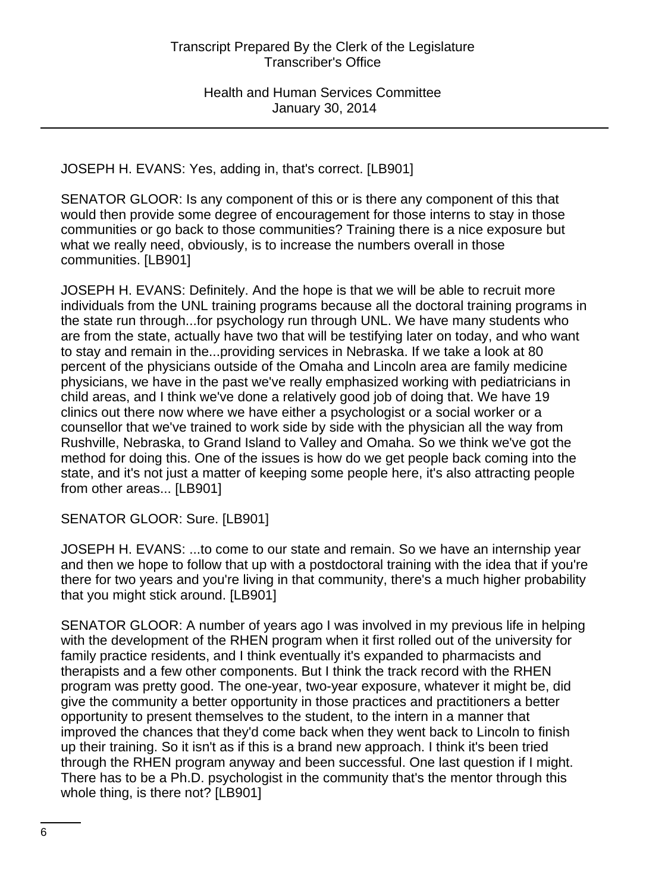JOSEPH H. EVANS: Yes, adding in, that's correct. [LB901]

SENATOR GLOOR: Is any component of this or is there any component of this that would then provide some degree of encouragement for those interns to stay in those communities or go back to those communities? Training there is a nice exposure but what we really need, obviously, is to increase the numbers overall in those communities. [LB901]

JOSEPH H. EVANS: Definitely. And the hope is that we will be able to recruit more individuals from the UNL training programs because all the doctoral training programs in the state run through...for psychology run through UNL. We have many students who are from the state, actually have two that will be testifying later on today, and who want to stay and remain in the...providing services in Nebraska. If we take a look at 80 percent of the physicians outside of the Omaha and Lincoln area are family medicine physicians, we have in the past we've really emphasized working with pediatricians in child areas, and I think we've done a relatively good job of doing that. We have 19 clinics out there now where we have either a psychologist or a social worker or a counsellor that we've trained to work side by side with the physician all the way from Rushville, Nebraska, to Grand Island to Valley and Omaha. So we think we've got the method for doing this. One of the issues is how do we get people back coming into the state, and it's not just a matter of keeping some people here, it's also attracting people from other areas... [LB901]

SENATOR GLOOR: Sure. [LB901]

JOSEPH H. EVANS: ...to come to our state and remain. So we have an internship year and then we hope to follow that up with a postdoctoral training with the idea that if you're there for two years and you're living in that community, there's a much higher probability that you might stick around. [LB901]

SENATOR GLOOR: A number of years ago I was involved in my previous life in helping with the development of the RHEN program when it first rolled out of the university for family practice residents, and I think eventually it's expanded to pharmacists and therapists and a few other components. But I think the track record with the RHEN program was pretty good. The one-year, two-year exposure, whatever it might be, did give the community a better opportunity in those practices and practitioners a better opportunity to present themselves to the student, to the intern in a manner that improved the chances that they'd come back when they went back to Lincoln to finish up their training. So it isn't as if this is a brand new approach. I think it's been tried through the RHEN program anyway and been successful. One last question if I might. There has to be a Ph.D. psychologist in the community that's the mentor through this whole thing, is there not? [LB901]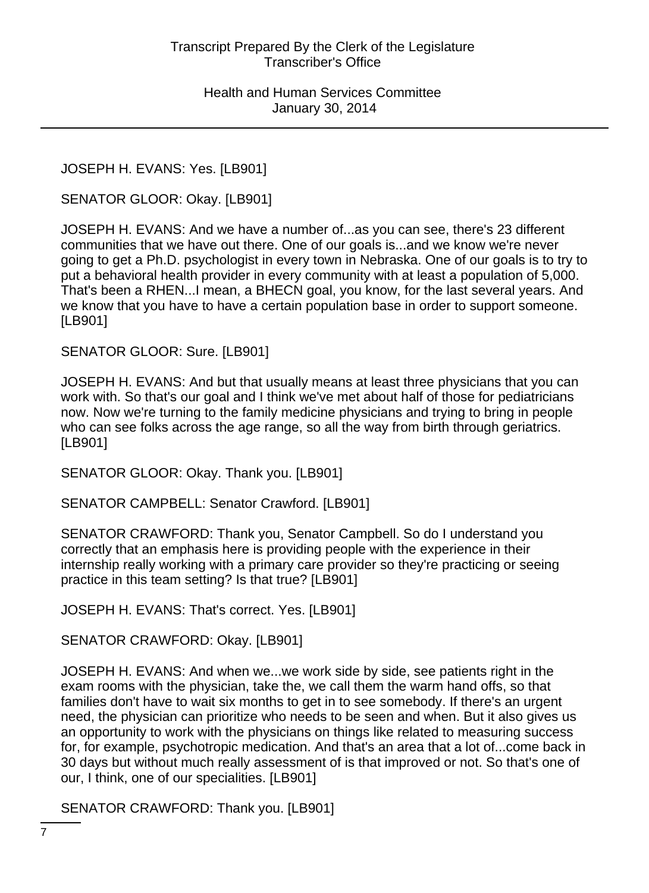JOSEPH H. EVANS: Yes. [LB901]

SENATOR GLOOR: Okay. [LB901]

JOSEPH H. EVANS: And we have a number of...as you can see, there's 23 different communities that we have out there. One of our goals is...and we know we're never going to get a Ph.D. psychologist in every town in Nebraska. One of our goals is to try to put a behavioral health provider in every community with at least a population of 5,000. That's been a RHEN...I mean, a BHECN goal, you know, for the last several years. And we know that you have to have a certain population base in order to support someone. [LB901]

SENATOR GLOOR: Sure. [LB901]

JOSEPH H. EVANS: And but that usually means at least three physicians that you can work with. So that's our goal and I think we've met about half of those for pediatricians now. Now we're turning to the family medicine physicians and trying to bring in people who can see folks across the age range, so all the way from birth through geriatrics. [LB901]

SENATOR GLOOR: Okay. Thank you. [LB901]

SENATOR CAMPBELL: Senator Crawford. [LB901]

SENATOR CRAWFORD: Thank you, Senator Campbell. So do I understand you correctly that an emphasis here is providing people with the experience in their internship really working with a primary care provider so they're practicing or seeing practice in this team setting? Is that true? [LB901]

JOSEPH H. EVANS: That's correct. Yes. [LB901]

SENATOR CRAWFORD: Okay. [LB901]

JOSEPH H. EVANS: And when we...we work side by side, see patients right in the exam rooms with the physician, take the, we call them the warm hand offs, so that families don't have to wait six months to get in to see somebody. If there's an urgent need, the physician can prioritize who needs to be seen and when. But it also gives us an opportunity to work with the physicians on things like related to measuring success for, for example, psychotropic medication. And that's an area that a lot of...come back in 30 days but without much really assessment of is that improved or not. So that's one of our, I think, one of our specialities. [LB901]

SENATOR CRAWFORD: Thank you. [LB901]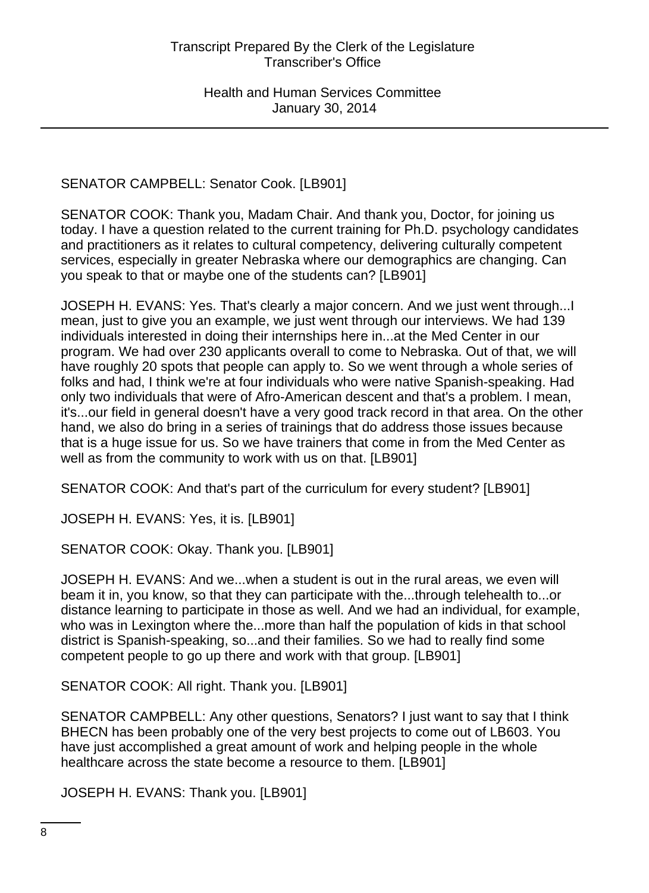SENATOR CAMPBELL: Senator Cook. [LB901]

SENATOR COOK: Thank you, Madam Chair. And thank you, Doctor, for joining us today. I have a question related to the current training for Ph.D. psychology candidates and practitioners as it relates to cultural competency, delivering culturally competent services, especially in greater Nebraska where our demographics are changing. Can you speak to that or maybe one of the students can? [LB901]

JOSEPH H. EVANS: Yes. That's clearly a major concern. And we just went through...I mean, just to give you an example, we just went through our interviews. We had 139 individuals interested in doing their internships here in...at the Med Center in our program. We had over 230 applicants overall to come to Nebraska. Out of that, we will have roughly 20 spots that people can apply to. So we went through a whole series of folks and had, I think we're at four individuals who were native Spanish-speaking. Had only two individuals that were of Afro-American descent and that's a problem. I mean, it's...our field in general doesn't have a very good track record in that area. On the other hand, we also do bring in a series of trainings that do address those issues because that is a huge issue for us. So we have trainers that come in from the Med Center as well as from the community to work with us on that. [LB901]

SENATOR COOK: And that's part of the curriculum for every student? [LB901]

JOSEPH H. EVANS: Yes, it is. [LB901]

SENATOR COOK: Okay. Thank you. [LB901]

JOSEPH H. EVANS: And we...when a student is out in the rural areas, we even will beam it in, you know, so that they can participate with the...through telehealth to...or distance learning to participate in those as well. And we had an individual, for example, who was in Lexington where the...more than half the population of kids in that school district is Spanish-speaking, so...and their families. So we had to really find some competent people to go up there and work with that group. [LB901]

SENATOR COOK: All right. Thank you. [LB901]

SENATOR CAMPBELL: Any other questions, Senators? I just want to say that I think BHECN has been probably one of the very best projects to come out of LB603. You have just accomplished a great amount of work and helping people in the whole healthcare across the state become a resource to them. [LB901]

JOSEPH H. EVANS: Thank you. [LB901]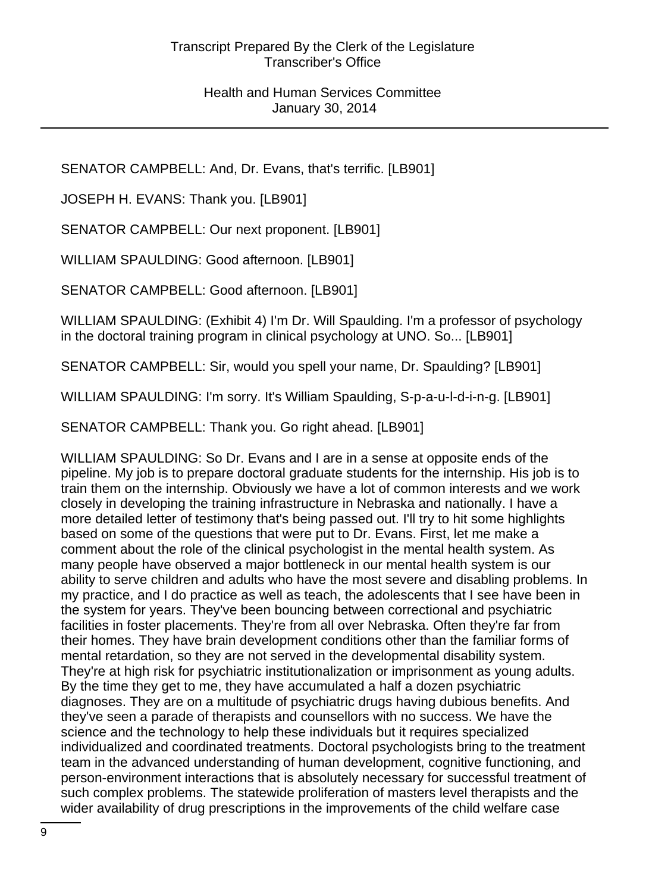SENATOR CAMPBELL: And, Dr. Evans, that's terrific. [LB901]

JOSEPH H. EVANS: Thank you. [LB901]

SENATOR CAMPBELL: Our next proponent. [LB901]

WILLIAM SPAULDING: Good afternoon. [LB901]

SENATOR CAMPBELL: Good afternoon. [LB901]

WILLIAM SPAULDING: (Exhibit 4) I'm Dr. Will Spaulding. I'm a professor of psychology in the doctoral training program in clinical psychology at UNO. So... [LB901]

SENATOR CAMPBELL: Sir, would you spell your name, Dr. Spaulding? [LB901]

WILLIAM SPAULDING: I'm sorry. It's William Spaulding, S-p-a-u-l-d-i-n-g. [LB901]

SENATOR CAMPBELL: Thank you. Go right ahead. [LB901]

WILLIAM SPAULDING: So Dr. Evans and I are in a sense at opposite ends of the pipeline. My job is to prepare doctoral graduate students for the internship. His job is to train them on the internship. Obviously we have a lot of common interests and we work closely in developing the training infrastructure in Nebraska and nationally. I have a more detailed letter of testimony that's being passed out. I'll try to hit some highlights based on some of the questions that were put to Dr. Evans. First, let me make a comment about the role of the clinical psychologist in the mental health system. As many people have observed a major bottleneck in our mental health system is our ability to serve children and adults who have the most severe and disabling problems. In my practice, and I do practice as well as teach, the adolescents that I see have been in the system for years. They've been bouncing between correctional and psychiatric facilities in foster placements. They're from all over Nebraska. Often they're far from their homes. They have brain development conditions other than the familiar forms of mental retardation, so they are not served in the developmental disability system. They're at high risk for psychiatric institutionalization or imprisonment as young adults. By the time they get to me, they have accumulated a half a dozen psychiatric diagnoses. They are on a multitude of psychiatric drugs having dubious benefits. And they've seen a parade of therapists and counsellors with no success. We have the science and the technology to help these individuals but it requires specialized individualized and coordinated treatments. Doctoral psychologists bring to the treatment team in the advanced understanding of human development, cognitive functioning, and person-environment interactions that is absolutely necessary for successful treatment of such complex problems. The statewide proliferation of masters level therapists and the wider availability of drug prescriptions in the improvements of the child welfare case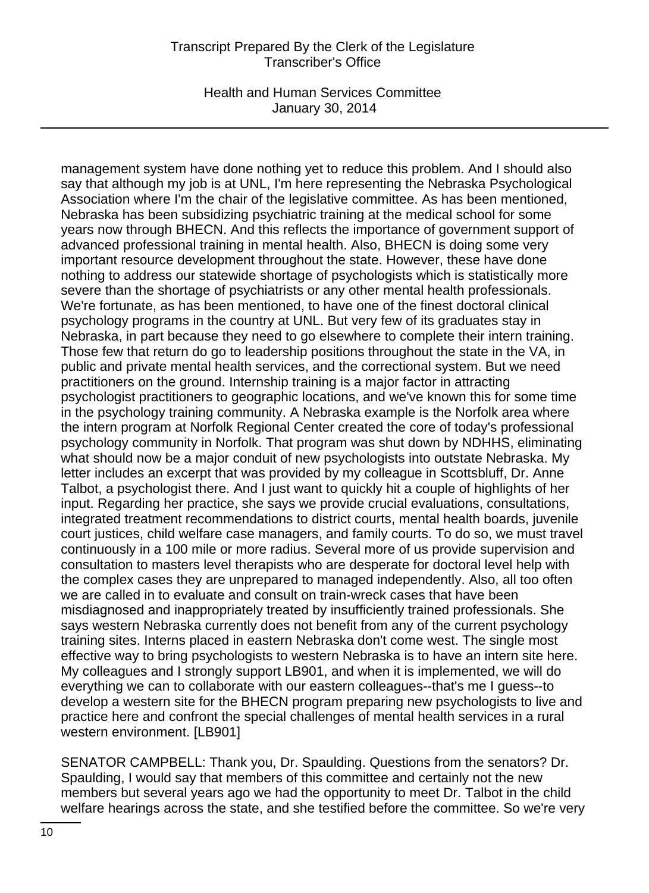Health and Human Services Committee January 30, 2014

management system have done nothing yet to reduce this problem. And I should also say that although my job is at UNL, I'm here representing the Nebraska Psychological Association where I'm the chair of the legislative committee. As has been mentioned, Nebraska has been subsidizing psychiatric training at the medical school for some years now through BHECN. And this reflects the importance of government support of advanced professional training in mental health. Also, BHECN is doing some very important resource development throughout the state. However, these have done nothing to address our statewide shortage of psychologists which is statistically more severe than the shortage of psychiatrists or any other mental health professionals. We're fortunate, as has been mentioned, to have one of the finest doctoral clinical psychology programs in the country at UNL. But very few of its graduates stay in Nebraska, in part because they need to go elsewhere to complete their intern training. Those few that return do go to leadership positions throughout the state in the VA, in public and private mental health services, and the correctional system. But we need practitioners on the ground. Internship training is a major factor in attracting psychologist practitioners to geographic locations, and we've known this for some time in the psychology training community. A Nebraska example is the Norfolk area where the intern program at Norfolk Regional Center created the core of today's professional psychology community in Norfolk. That program was shut down by NDHHS, eliminating what should now be a major conduit of new psychologists into outstate Nebraska. My letter includes an excerpt that was provided by my colleague in Scottsbluff, Dr. Anne Talbot, a psychologist there. And I just want to quickly hit a couple of highlights of her input. Regarding her practice, she says we provide crucial evaluations, consultations, integrated treatment recommendations to district courts, mental health boards, juvenile court justices, child welfare case managers, and family courts. To do so, we must travel continuously in a 100 mile or more radius. Several more of us provide supervision and consultation to masters level therapists who are desperate for doctoral level help with the complex cases they are unprepared to managed independently. Also, all too often we are called in to evaluate and consult on train-wreck cases that have been misdiagnosed and inappropriately treated by insufficiently trained professionals. She says western Nebraska currently does not benefit from any of the current psychology training sites. Interns placed in eastern Nebraska don't come west. The single most effective way to bring psychologists to western Nebraska is to have an intern site here. My colleagues and I strongly support LB901, and when it is implemented, we will do everything we can to collaborate with our eastern colleagues--that's me I guess--to develop a western site for the BHECN program preparing new psychologists to live and practice here and confront the special challenges of mental health services in a rural western environment. [LB901]

SENATOR CAMPBELL: Thank you, Dr. Spaulding. Questions from the senators? Dr. Spaulding, I would say that members of this committee and certainly not the new members but several years ago we had the opportunity to meet Dr. Talbot in the child welfare hearings across the state, and she testified before the committee. So we're very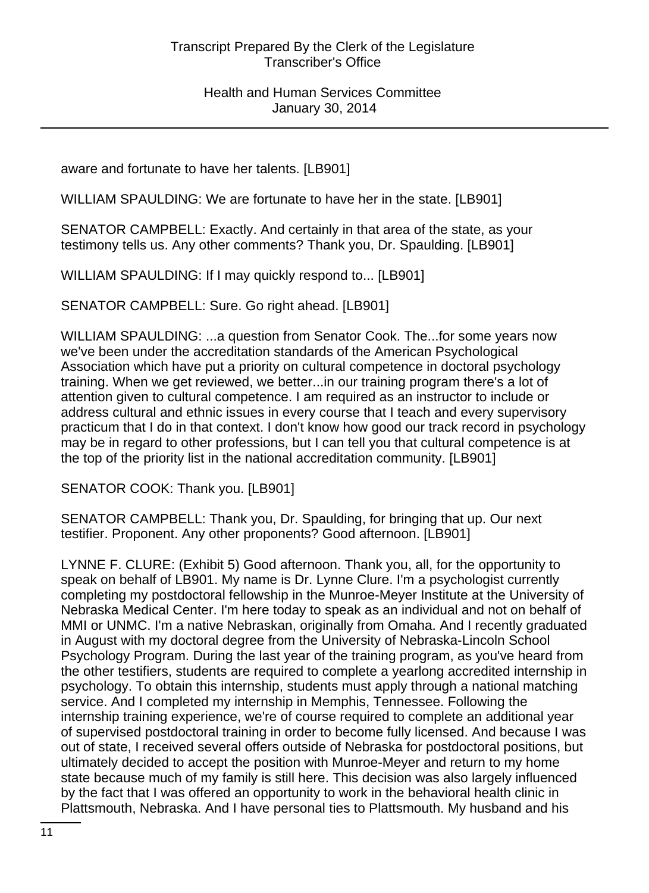aware and fortunate to have her talents. [LB901]

WILLIAM SPAULDING: We are fortunate to have her in the state. [LB901]

SENATOR CAMPBELL: Exactly. And certainly in that area of the state, as your testimony tells us. Any other comments? Thank you, Dr. Spaulding. [LB901]

WILLIAM SPAULDING: If I may quickly respond to... [LB901]

SENATOR CAMPBELL: Sure. Go right ahead. [LB901]

WILLIAM SPAULDING: ...a question from Senator Cook. The...for some years now we've been under the accreditation standards of the American Psychological Association which have put a priority on cultural competence in doctoral psychology training. When we get reviewed, we better...in our training program there's a lot of attention given to cultural competence. I am required as an instructor to include or address cultural and ethnic issues in every course that I teach and every supervisory practicum that I do in that context. I don't know how good our track record in psychology may be in regard to other professions, but I can tell you that cultural competence is at the top of the priority list in the national accreditation community. [LB901]

SENATOR COOK: Thank you. [LB901]

SENATOR CAMPBELL: Thank you, Dr. Spaulding, for bringing that up. Our next testifier. Proponent. Any other proponents? Good afternoon. [LB901]

LYNNE F. CLURE: (Exhibit 5) Good afternoon. Thank you, all, for the opportunity to speak on behalf of LB901. My name is Dr. Lynne Clure. I'm a psychologist currently completing my postdoctoral fellowship in the Munroe-Meyer Institute at the University of Nebraska Medical Center. I'm here today to speak as an individual and not on behalf of MMI or UNMC. I'm a native Nebraskan, originally from Omaha. And I recently graduated in August with my doctoral degree from the University of Nebraska-Lincoln School Psychology Program. During the last year of the training program, as you've heard from the other testifiers, students are required to complete a yearlong accredited internship in psychology. To obtain this internship, students must apply through a national matching service. And I completed my internship in Memphis, Tennessee. Following the internship training experience, we're of course required to complete an additional year of supervised postdoctoral training in order to become fully licensed. And because I was out of state, I received several offers outside of Nebraska for postdoctoral positions, but ultimately decided to accept the position with Munroe-Meyer and return to my home state because much of my family is still here. This decision was also largely influenced by the fact that I was offered an opportunity to work in the behavioral health clinic in Plattsmouth, Nebraska. And I have personal ties to Plattsmouth. My husband and his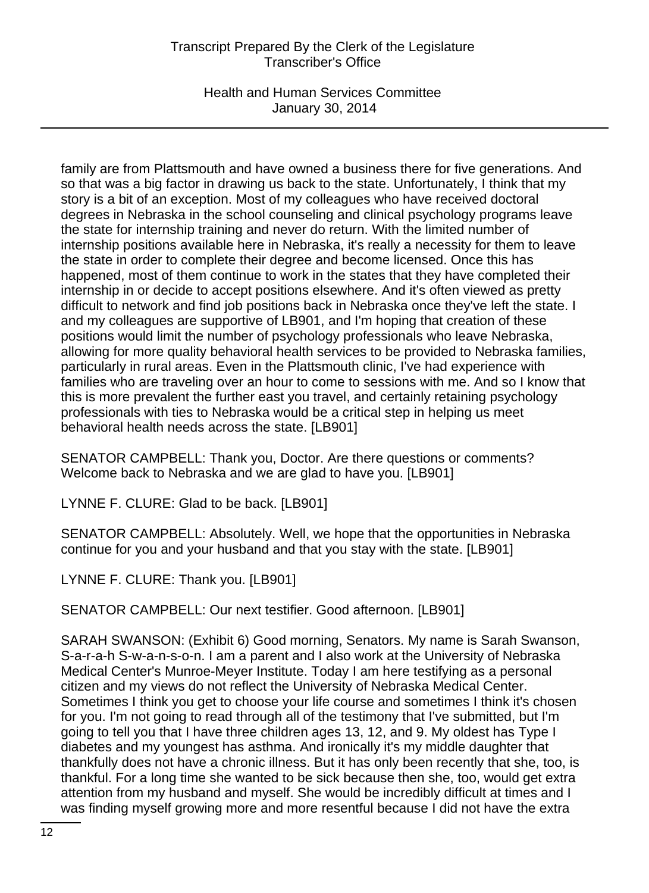Health and Human Services Committee January 30, 2014

family are from Plattsmouth and have owned a business there for five generations. And so that was a big factor in drawing us back to the state. Unfortunately, I think that my story is a bit of an exception. Most of my colleagues who have received doctoral degrees in Nebraska in the school counseling and clinical psychology programs leave the state for internship training and never do return. With the limited number of internship positions available here in Nebraska, it's really a necessity for them to leave the state in order to complete their degree and become licensed. Once this has happened, most of them continue to work in the states that they have completed their internship in or decide to accept positions elsewhere. And it's often viewed as pretty difficult to network and find job positions back in Nebraska once they've left the state. I and my colleagues are supportive of LB901, and I'm hoping that creation of these positions would limit the number of psychology professionals who leave Nebraska, allowing for more quality behavioral health services to be provided to Nebraska families, particularly in rural areas. Even in the Plattsmouth clinic, I've had experience with families who are traveling over an hour to come to sessions with me. And so I know that this is more prevalent the further east you travel, and certainly retaining psychology professionals with ties to Nebraska would be a critical step in helping us meet behavioral health needs across the state. [LB901]

SENATOR CAMPBELL: Thank you, Doctor. Are there questions or comments? Welcome back to Nebraska and we are glad to have you. [LB901]

LYNNE F. CLURE: Glad to be back. [LB901]

SENATOR CAMPBELL: Absolutely. Well, we hope that the opportunities in Nebraska continue for you and your husband and that you stay with the state. [LB901]

LYNNE F. CLURE: Thank you. [LB901]

SENATOR CAMPBELL: Our next testifier. Good afternoon. [LB901]

SARAH SWANSON: (Exhibit 6) Good morning, Senators. My name is Sarah Swanson, S-a-r-a-h S-w-a-n-s-o-n. I am a parent and I also work at the University of Nebraska Medical Center's Munroe-Meyer Institute. Today I am here testifying as a personal citizen and my views do not reflect the University of Nebraska Medical Center. Sometimes I think you get to choose your life course and sometimes I think it's chosen for you. I'm not going to read through all of the testimony that I've submitted, but I'm going to tell you that I have three children ages 13, 12, and 9. My oldest has Type I diabetes and my youngest has asthma. And ironically it's my middle daughter that thankfully does not have a chronic illness. But it has only been recently that she, too, is thankful. For a long time she wanted to be sick because then she, too, would get extra attention from my husband and myself. She would be incredibly difficult at times and I was finding myself growing more and more resentful because I did not have the extra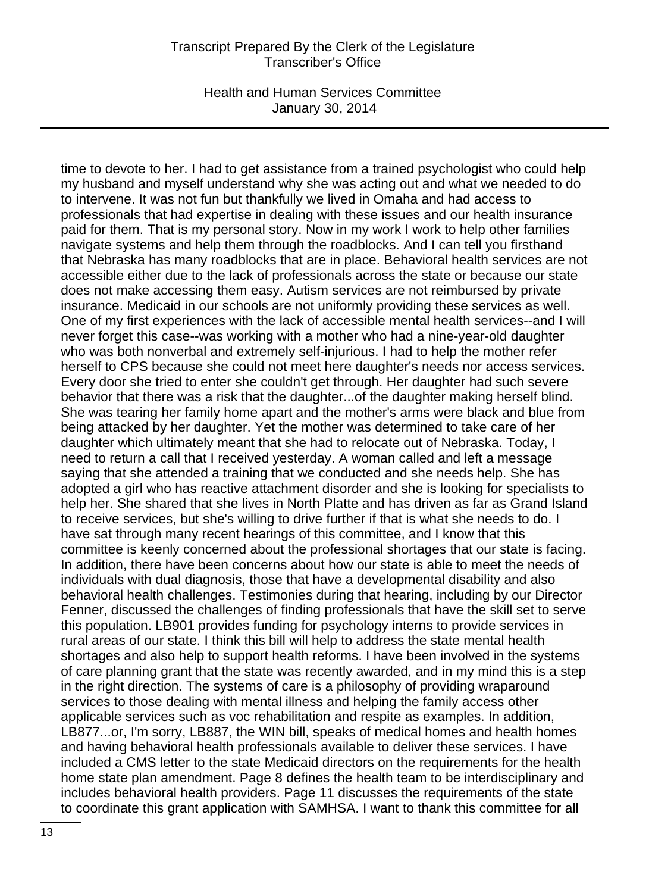Health and Human Services Committee January 30, 2014

time to devote to her. I had to get assistance from a trained psychologist who could help my husband and myself understand why she was acting out and what we needed to do to intervene. It was not fun but thankfully we lived in Omaha and had access to professionals that had expertise in dealing with these issues and our health insurance paid for them. That is my personal story. Now in my work I work to help other families navigate systems and help them through the roadblocks. And I can tell you firsthand that Nebraska has many roadblocks that are in place. Behavioral health services are not accessible either due to the lack of professionals across the state or because our state does not make accessing them easy. Autism services are not reimbursed by private insurance. Medicaid in our schools are not uniformly providing these services as well. One of my first experiences with the lack of accessible mental health services--and I will never forget this case--was working with a mother who had a nine-year-old daughter who was both nonverbal and extremely self-injurious. I had to help the mother refer herself to CPS because she could not meet here daughter's needs nor access services. Every door she tried to enter she couldn't get through. Her daughter had such severe behavior that there was a risk that the daughter...of the daughter making herself blind. She was tearing her family home apart and the mother's arms were black and blue from being attacked by her daughter. Yet the mother was determined to take care of her daughter which ultimately meant that she had to relocate out of Nebraska. Today, I need to return a call that I received yesterday. A woman called and left a message saying that she attended a training that we conducted and she needs help. She has adopted a girl who has reactive attachment disorder and she is looking for specialists to help her. She shared that she lives in North Platte and has driven as far as Grand Island to receive services, but she's willing to drive further if that is what she needs to do. I have sat through many recent hearings of this committee, and I know that this committee is keenly concerned about the professional shortages that our state is facing. In addition, there have been concerns about how our state is able to meet the needs of individuals with dual diagnosis, those that have a developmental disability and also behavioral health challenges. Testimonies during that hearing, including by our Director Fenner, discussed the challenges of finding professionals that have the skill set to serve this population. LB901 provides funding for psychology interns to provide services in rural areas of our state. I think this bill will help to address the state mental health shortages and also help to support health reforms. I have been involved in the systems of care planning grant that the state was recently awarded, and in my mind this is a step in the right direction. The systems of care is a philosophy of providing wraparound services to those dealing with mental illness and helping the family access other applicable services such as voc rehabilitation and respite as examples. In addition, LB877...or, I'm sorry, LB887, the WIN bill, speaks of medical homes and health homes and having behavioral health professionals available to deliver these services. I have included a CMS letter to the state Medicaid directors on the requirements for the health home state plan amendment. Page 8 defines the health team to be interdisciplinary and includes behavioral health providers. Page 11 discusses the requirements of the state to coordinate this grant application with SAMHSA. I want to thank this committee for all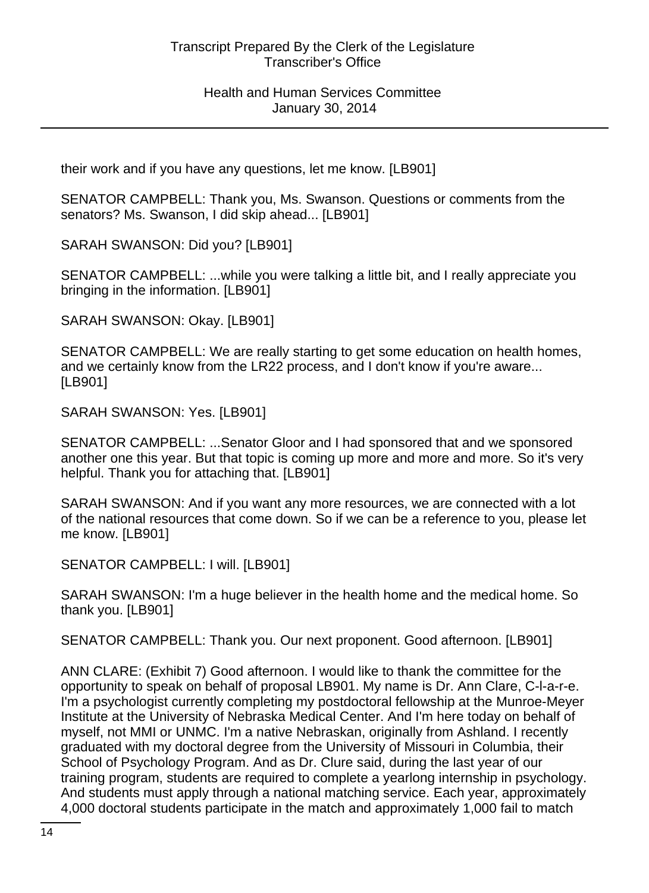their work and if you have any questions, let me know. [LB901]

SENATOR CAMPBELL: Thank you, Ms. Swanson. Questions or comments from the senators? Ms. Swanson, I did skip ahead... [LB901]

SARAH SWANSON: Did you? [LB901]

SENATOR CAMPBELL: ...while you were talking a little bit, and I really appreciate you bringing in the information. [LB901]

SARAH SWANSON: Okay. [LB901]

SENATOR CAMPBELL: We are really starting to get some education on health homes, and we certainly know from the LR22 process, and I don't know if you're aware... [LB901]

SARAH SWANSON: Yes. [LB901]

SENATOR CAMPBELL: ...Senator Gloor and I had sponsored that and we sponsored another one this year. But that topic is coming up more and more and more. So it's very helpful. Thank you for attaching that. [LB901]

SARAH SWANSON: And if you want any more resources, we are connected with a lot of the national resources that come down. So if we can be a reference to you, please let me know. [LB901]

SENATOR CAMPBELL: I will. [LB901]

SARAH SWANSON: I'm a huge believer in the health home and the medical home. So thank you. [LB901]

SENATOR CAMPBELL: Thank you. Our next proponent. Good afternoon. [LB901]

ANN CLARE: (Exhibit 7) Good afternoon. I would like to thank the committee for the opportunity to speak on behalf of proposal LB901. My name is Dr. Ann Clare, C-l-a-r-e. I'm a psychologist currently completing my postdoctoral fellowship at the Munroe-Meyer Institute at the University of Nebraska Medical Center. And I'm here today on behalf of myself, not MMI or UNMC. I'm a native Nebraskan, originally from Ashland. I recently graduated with my doctoral degree from the University of Missouri in Columbia, their School of Psychology Program. And as Dr. Clure said, during the last year of our training program, students are required to complete a yearlong internship in psychology. And students must apply through a national matching service. Each year, approximately 4,000 doctoral students participate in the match and approximately 1,000 fail to match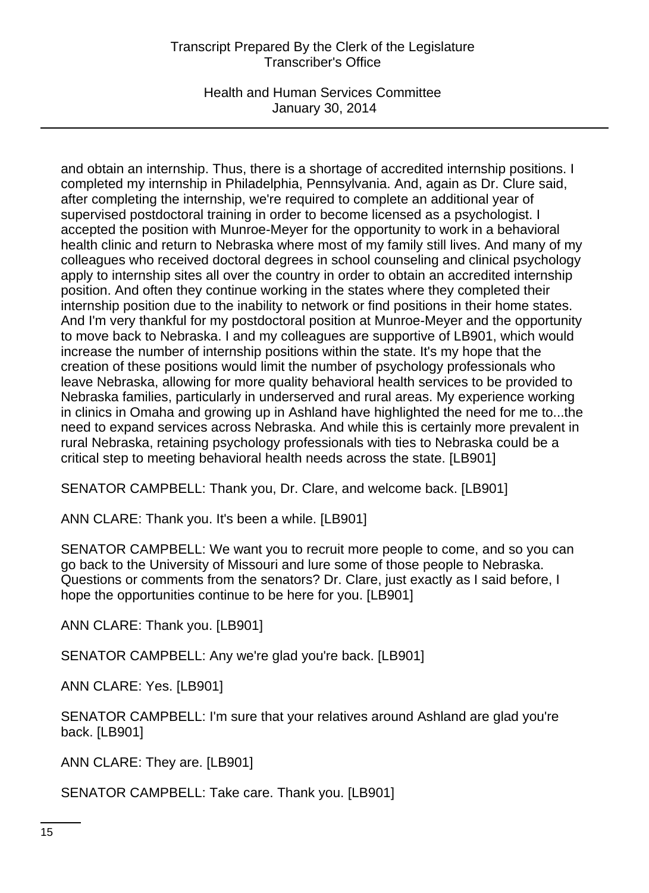Health and Human Services Committee January 30, 2014

and obtain an internship. Thus, there is a shortage of accredited internship positions. I completed my internship in Philadelphia, Pennsylvania. And, again as Dr. Clure said, after completing the internship, we're required to complete an additional year of supervised postdoctoral training in order to become licensed as a psychologist. I accepted the position with Munroe-Meyer for the opportunity to work in a behavioral health clinic and return to Nebraska where most of my family still lives. And many of my colleagues who received doctoral degrees in school counseling and clinical psychology apply to internship sites all over the country in order to obtain an accredited internship position. And often they continue working in the states where they completed their internship position due to the inability to network or find positions in their home states. And I'm very thankful for my postdoctoral position at Munroe-Meyer and the opportunity to move back to Nebraska. I and my colleagues are supportive of LB901, which would increase the number of internship positions within the state. It's my hope that the creation of these positions would limit the number of psychology professionals who leave Nebraska, allowing for more quality behavioral health services to be provided to Nebraska families, particularly in underserved and rural areas. My experience working in clinics in Omaha and growing up in Ashland have highlighted the need for me to...the need to expand services across Nebraska. And while this is certainly more prevalent in rural Nebraska, retaining psychology professionals with ties to Nebraska could be a critical step to meeting behavioral health needs across the state. [LB901]

SENATOR CAMPBELL: Thank you, Dr. Clare, and welcome back. [LB901]

ANN CLARE: Thank you. It's been a while. [LB901]

SENATOR CAMPBELL: We want you to recruit more people to come, and so you can go back to the University of Missouri and lure some of those people to Nebraska. Questions or comments from the senators? Dr. Clare, just exactly as I said before, I hope the opportunities continue to be here for you. [LB901]

ANN CLARE: Thank you. [LB901]

SENATOR CAMPBELL: Any we're glad you're back. [LB901]

ANN CLARE: Yes. [LB901]

SENATOR CAMPBELL: I'm sure that your relatives around Ashland are glad you're back. [LB901]

ANN CLARE: They are. [LB901]

SENATOR CAMPBELL: Take care. Thank you. [LB901]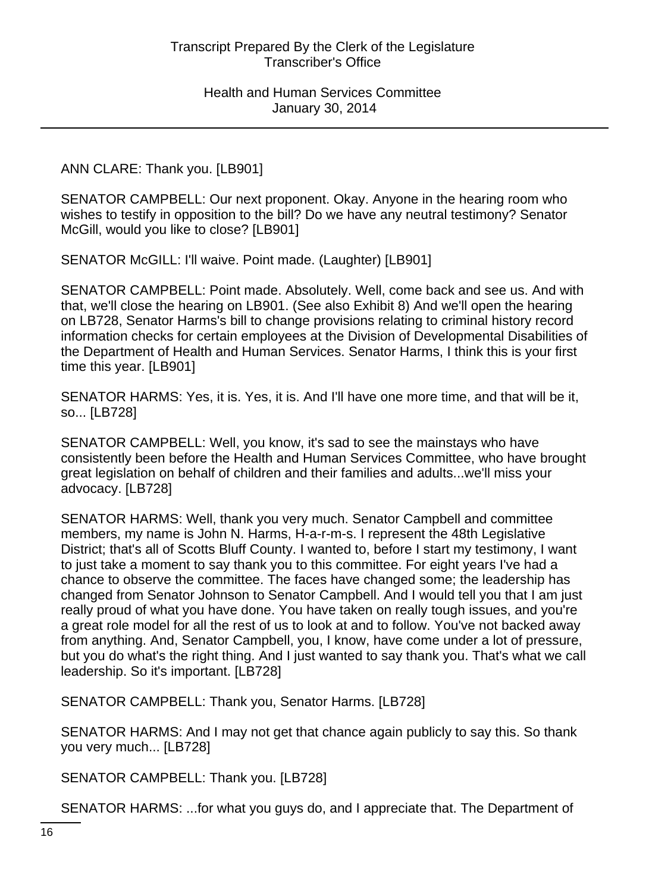ANN CLARE: Thank you. [LB901]

SENATOR CAMPBELL: Our next proponent. Okay. Anyone in the hearing room who wishes to testify in opposition to the bill? Do we have any neutral testimony? Senator McGill, would you like to close? [LB901]

SENATOR McGILL: I'll waive. Point made. (Laughter) [LB901]

SENATOR CAMPBELL: Point made. Absolutely. Well, come back and see us. And with that, we'll close the hearing on LB901. (See also Exhibit 8) And we'll open the hearing on LB728, Senator Harms's bill to change provisions relating to criminal history record information checks for certain employees at the Division of Developmental Disabilities of the Department of Health and Human Services. Senator Harms, I think this is your first time this year. [LB901]

SENATOR HARMS: Yes, it is. Yes, it is. And I'll have one more time, and that will be it, so... [LB728]

SENATOR CAMPBELL: Well, you know, it's sad to see the mainstays who have consistently been before the Health and Human Services Committee, who have brought great legislation on behalf of children and their families and adults...we'll miss your advocacy. [LB728]

SENATOR HARMS: Well, thank you very much. Senator Campbell and committee members, my name is John N. Harms, H-a-r-m-s. I represent the 48th Legislative District; that's all of Scotts Bluff County. I wanted to, before I start my testimony, I want to just take a moment to say thank you to this committee. For eight years I've had a chance to observe the committee. The faces have changed some; the leadership has changed from Senator Johnson to Senator Campbell. And I would tell you that I am just really proud of what you have done. You have taken on really tough issues, and you're a great role model for all the rest of us to look at and to follow. You've not backed away from anything. And, Senator Campbell, you, I know, have come under a lot of pressure, but you do what's the right thing. And I just wanted to say thank you. That's what we call leadership. So it's important. [LB728]

SENATOR CAMPBELL: Thank you, Senator Harms. [LB728]

SENATOR HARMS: And I may not get that chance again publicly to say this. So thank you very much... [LB728]

SENATOR CAMPBELL: Thank you. [LB728]

SENATOR HARMS: ...for what you guys do, and I appreciate that. The Department of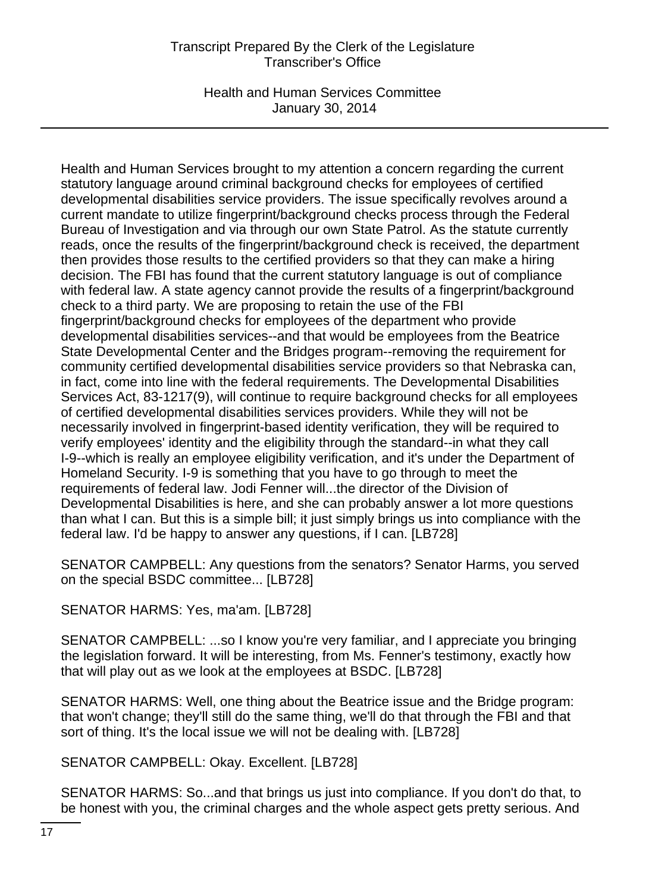Health and Human Services Committee January 30, 2014

Health and Human Services brought to my attention a concern regarding the current statutory language around criminal background checks for employees of certified developmental disabilities service providers. The issue specifically revolves around a current mandate to utilize fingerprint/background checks process through the Federal Bureau of Investigation and via through our own State Patrol. As the statute currently reads, once the results of the fingerprint/background check is received, the department then provides those results to the certified providers so that they can make a hiring decision. The FBI has found that the current statutory language is out of compliance with federal law. A state agency cannot provide the results of a fingerprint/background check to a third party. We are proposing to retain the use of the FBI fingerprint/background checks for employees of the department who provide developmental disabilities services--and that would be employees from the Beatrice State Developmental Center and the Bridges program--removing the requirement for community certified developmental disabilities service providers so that Nebraska can, in fact, come into line with the federal requirements. The Developmental Disabilities Services Act, 83-1217(9), will continue to require background checks for all employees of certified developmental disabilities services providers. While they will not be necessarily involved in fingerprint-based identity verification, they will be required to verify employees' identity and the eligibility through the standard--in what they call I-9--which is really an employee eligibility verification, and it's under the Department of Homeland Security. I-9 is something that you have to go through to meet the requirements of federal law. Jodi Fenner will...the director of the Division of Developmental Disabilities is here, and she can probably answer a lot more questions than what I can. But this is a simple bill; it just simply brings us into compliance with the federal law. I'd be happy to answer any questions, if I can. [LB728]

SENATOR CAMPBELL: Any questions from the senators? Senator Harms, you served on the special BSDC committee... [LB728]

SENATOR HARMS: Yes, ma'am. [LB728]

SENATOR CAMPBELL: ...so I know you're very familiar, and I appreciate you bringing the legislation forward. It will be interesting, from Ms. Fenner's testimony, exactly how that will play out as we look at the employees at BSDC. [LB728]

SENATOR HARMS: Well, one thing about the Beatrice issue and the Bridge program: that won't change; they'll still do the same thing, we'll do that through the FBI and that sort of thing. It's the local issue we will not be dealing with. [LB728]

SENATOR CAMPBELL: Okay. Excellent. [LB728]

SENATOR HARMS: So...and that brings us just into compliance. If you don't do that, to be honest with you, the criminal charges and the whole aspect gets pretty serious. And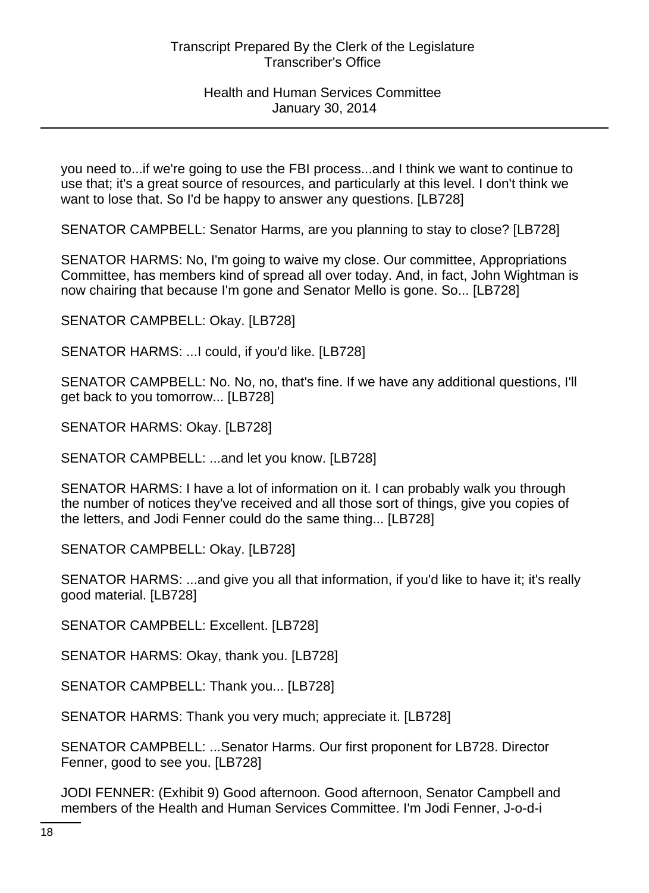you need to...if we're going to use the FBI process...and I think we want to continue to use that; it's a great source of resources, and particularly at this level. I don't think we want to lose that. So I'd be happy to answer any questions. [LB728]

SENATOR CAMPBELL: Senator Harms, are you planning to stay to close? [LB728]

SENATOR HARMS: No, I'm going to waive my close. Our committee, Appropriations Committee, has members kind of spread all over today. And, in fact, John Wightman is now chairing that because I'm gone and Senator Mello is gone. So... [LB728]

SENATOR CAMPBELL: Okay. [LB728]

SENATOR HARMS: ...I could, if you'd like. [LB728]

SENATOR CAMPBELL: No. No, no, that's fine. If we have any additional questions, I'll get back to you tomorrow... [LB728]

SENATOR HARMS: Okay. [LB728]

SENATOR CAMPBELL: ...and let you know. [LB728]

SENATOR HARMS: I have a lot of information on it. I can probably walk you through the number of notices they've received and all those sort of things, give you copies of the letters, and Jodi Fenner could do the same thing... [LB728]

SENATOR CAMPBELL: Okay. [LB728]

SENATOR HARMS: ...and give you all that information, if you'd like to have it; it's really good material. [LB728]

SENATOR CAMPBELL: Excellent. [LB728]

SENATOR HARMS: Okay, thank you. [LB728]

SENATOR CAMPBELL: Thank you... [LB728]

SENATOR HARMS: Thank you very much; appreciate it. [LB728]

SENATOR CAMPBELL: ...Senator Harms. Our first proponent for LB728. Director Fenner, good to see you. [LB728]

JODI FENNER: (Exhibit 9) Good afternoon. Good afternoon, Senator Campbell and members of the Health and Human Services Committee. I'm Jodi Fenner, J-o-d-i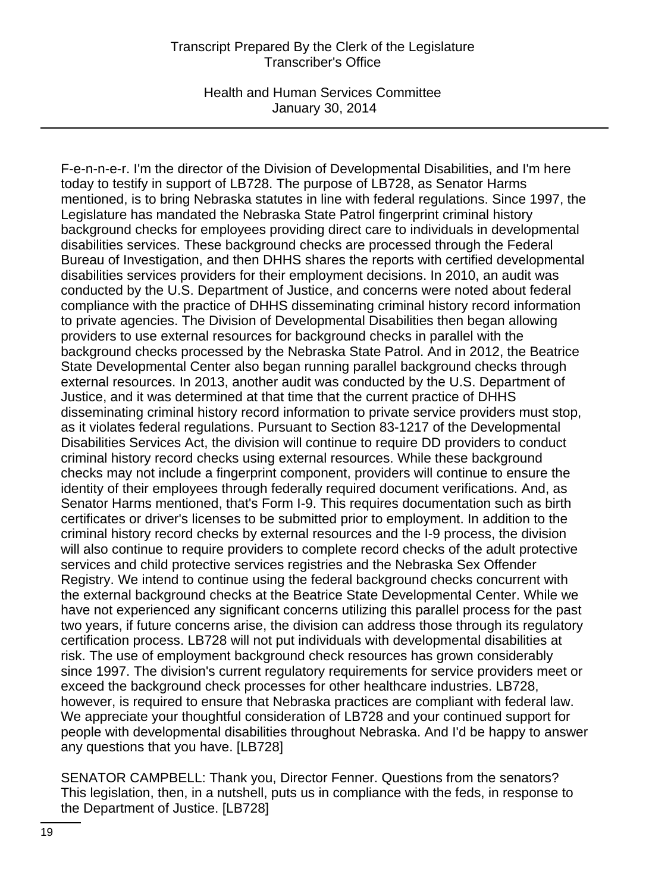Health and Human Services Committee January 30, 2014

F-e-n-n-e-r. I'm the director of the Division of Developmental Disabilities, and I'm here today to testify in support of LB728. The purpose of LB728, as Senator Harms mentioned, is to bring Nebraska statutes in line with federal regulations. Since 1997, the Legislature has mandated the Nebraska State Patrol fingerprint criminal history background checks for employees providing direct care to individuals in developmental disabilities services. These background checks are processed through the Federal Bureau of Investigation, and then DHHS shares the reports with certified developmental disabilities services providers for their employment decisions. In 2010, an audit was conducted by the U.S. Department of Justice, and concerns were noted about federal compliance with the practice of DHHS disseminating criminal history record information to private agencies. The Division of Developmental Disabilities then began allowing providers to use external resources for background checks in parallel with the background checks processed by the Nebraska State Patrol. And in 2012, the Beatrice State Developmental Center also began running parallel background checks through external resources. In 2013, another audit was conducted by the U.S. Department of Justice, and it was determined at that time that the current practice of DHHS disseminating criminal history record information to private service providers must stop, as it violates federal regulations. Pursuant to Section 83-1217 of the Developmental Disabilities Services Act, the division will continue to require DD providers to conduct criminal history record checks using external resources. While these background checks may not include a fingerprint component, providers will continue to ensure the identity of their employees through federally required document verifications. And, as Senator Harms mentioned, that's Form I-9. This requires documentation such as birth certificates or driver's licenses to be submitted prior to employment. In addition to the criminal history record checks by external resources and the I-9 process, the division will also continue to require providers to complete record checks of the adult protective services and child protective services registries and the Nebraska Sex Offender Registry. We intend to continue using the federal background checks concurrent with the external background checks at the Beatrice State Developmental Center. While we have not experienced any significant concerns utilizing this parallel process for the past two years, if future concerns arise, the division can address those through its regulatory certification process. LB728 will not put individuals with developmental disabilities at risk. The use of employment background check resources has grown considerably since 1997. The division's current regulatory requirements for service providers meet or exceed the background check processes for other healthcare industries. LB728, however, is required to ensure that Nebraska practices are compliant with federal law. We appreciate your thoughtful consideration of LB728 and your continued support for people with developmental disabilities throughout Nebraska. And I'd be happy to answer any questions that you have. [LB728]

SENATOR CAMPBELL: Thank you, Director Fenner. Questions from the senators? This legislation, then, in a nutshell, puts us in compliance with the feds, in response to the Department of Justice. [LB728]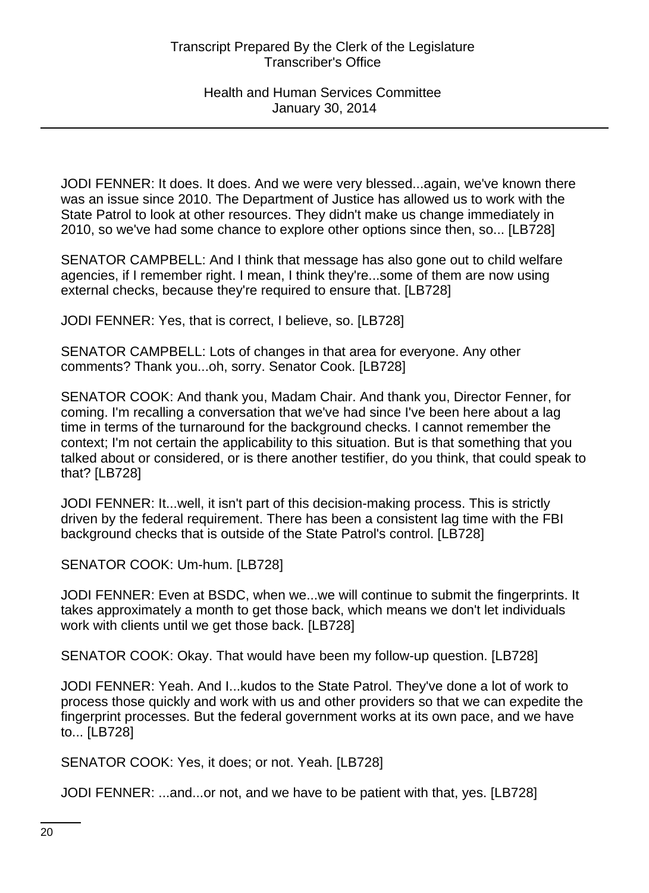JODI FENNER: It does. It does. And we were very blessed...again, we've known there was an issue since 2010. The Department of Justice has allowed us to work with the State Patrol to look at other resources. They didn't make us change immediately in 2010, so we've had some chance to explore other options since then, so... [LB728]

SENATOR CAMPBELL: And I think that message has also gone out to child welfare agencies, if I remember right. I mean, I think they're...some of them are now using external checks, because they're required to ensure that. [LB728]

JODI FENNER: Yes, that is correct, I believe, so. [LB728]

SENATOR CAMPBELL: Lots of changes in that area for everyone. Any other comments? Thank you...oh, sorry. Senator Cook. [LB728]

SENATOR COOK: And thank you, Madam Chair. And thank you, Director Fenner, for coming. I'm recalling a conversation that we've had since I've been here about a lag time in terms of the turnaround for the background checks. I cannot remember the context; I'm not certain the applicability to this situation. But is that something that you talked about or considered, or is there another testifier, do you think, that could speak to that? [LB728]

JODI FENNER: It...well, it isn't part of this decision-making process. This is strictly driven by the federal requirement. There has been a consistent lag time with the FBI background checks that is outside of the State Patrol's control. [LB728]

SENATOR COOK: Um-hum. [LB728]

JODI FENNER: Even at BSDC, when we...we will continue to submit the fingerprints. It takes approximately a month to get those back, which means we don't let individuals work with clients until we get those back. [LB728]

SENATOR COOK: Okay. That would have been my follow-up question. [LB728]

JODI FENNER: Yeah. And I...kudos to the State Patrol. They've done a lot of work to process those quickly and work with us and other providers so that we can expedite the fingerprint processes. But the federal government works at its own pace, and we have to... [LB728]

SENATOR COOK: Yes, it does; or not. Yeah. [LB728]

JODI FENNER: ...and...or not, and we have to be patient with that, yes. [LB728]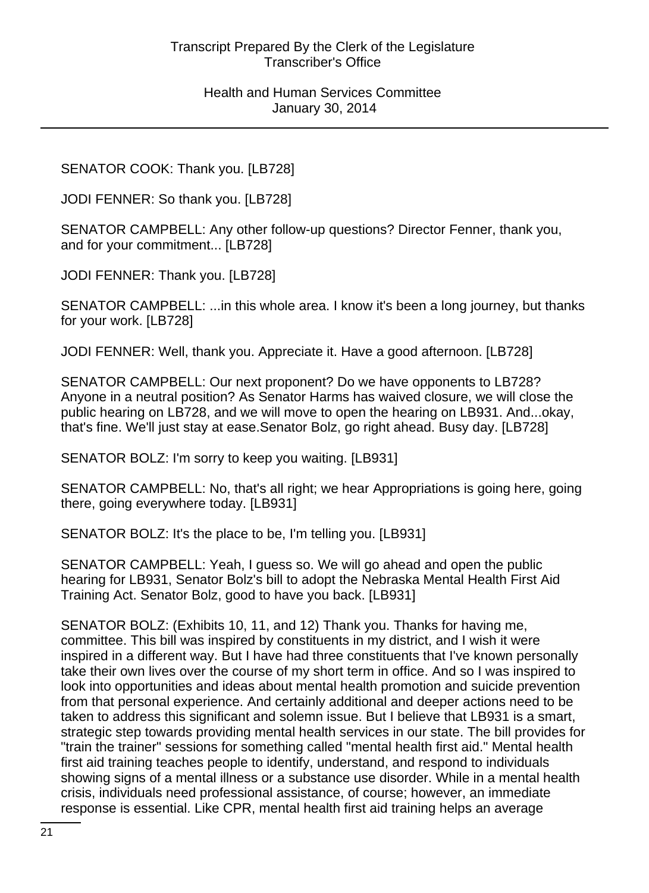SENATOR COOK: Thank you. [LB728]

JODI FENNER: So thank you. [LB728]

SENATOR CAMPBELL: Any other follow-up questions? Director Fenner, thank you, and for your commitment... [LB728]

JODI FENNER: Thank you. [LB728]

SENATOR CAMPBELL: ...in this whole area. I know it's been a long journey, but thanks for your work. [LB728]

JODI FENNER: Well, thank you. Appreciate it. Have a good afternoon. [LB728]

SENATOR CAMPBELL: Our next proponent? Do we have opponents to LB728? Anyone in a neutral position? As Senator Harms has waived closure, we will close the public hearing on LB728, and we will move to open the hearing on LB931. And...okay, that's fine. We'll just stay at ease.Senator Bolz, go right ahead. Busy day. [LB728]

SENATOR BOLZ: I'm sorry to keep you waiting. [LB931]

SENATOR CAMPBELL: No, that's all right; we hear Appropriations is going here, going there, going everywhere today. [LB931]

SENATOR BOLZ: It's the place to be, I'm telling you. [LB931]

SENATOR CAMPBELL: Yeah, I guess so. We will go ahead and open the public hearing for LB931, Senator Bolz's bill to adopt the Nebraska Mental Health First Aid Training Act. Senator Bolz, good to have you back. [LB931]

SENATOR BOLZ: (Exhibits 10, 11, and 12) Thank you. Thanks for having me, committee. This bill was inspired by constituents in my district, and I wish it were inspired in a different way. But I have had three constituents that I've known personally take their own lives over the course of my short term in office. And so I was inspired to look into opportunities and ideas about mental health promotion and suicide prevention from that personal experience. And certainly additional and deeper actions need to be taken to address this significant and solemn issue. But I believe that LB931 is a smart, strategic step towards providing mental health services in our state. The bill provides for "train the trainer" sessions for something called "mental health first aid." Mental health first aid training teaches people to identify, understand, and respond to individuals showing signs of a mental illness or a substance use disorder. While in a mental health crisis, individuals need professional assistance, of course; however, an immediate response is essential. Like CPR, mental health first aid training helps an average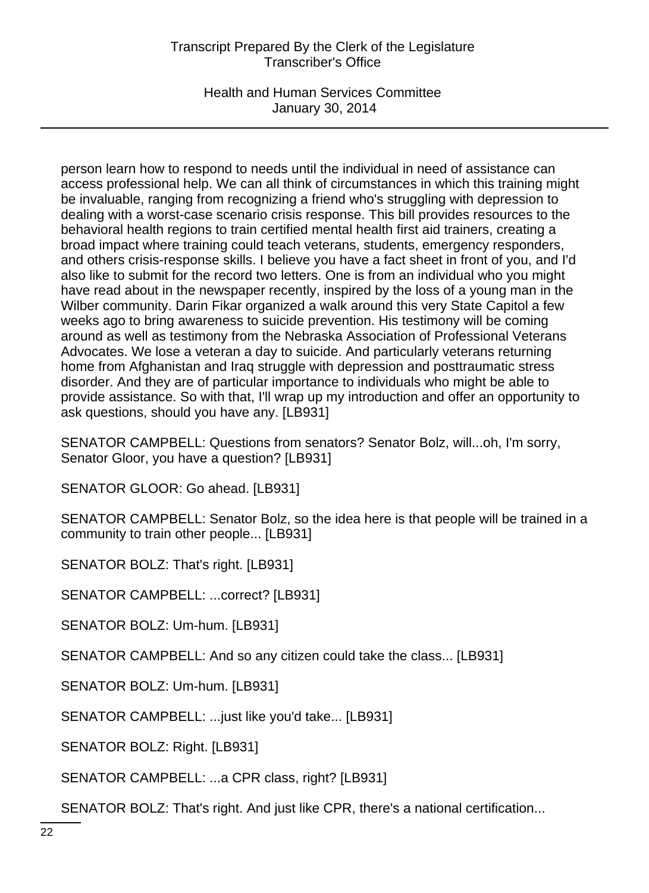Health and Human Services Committee January 30, 2014

person learn how to respond to needs until the individual in need of assistance can access professional help. We can all think of circumstances in which this training might be invaluable, ranging from recognizing a friend who's struggling with depression to dealing with a worst-case scenario crisis response. This bill provides resources to the behavioral health regions to train certified mental health first aid trainers, creating a broad impact where training could teach veterans, students, emergency responders, and others crisis-response skills. I believe you have a fact sheet in front of you, and I'd also like to submit for the record two letters. One is from an individual who you might have read about in the newspaper recently, inspired by the loss of a young man in the Wilber community. Darin Fikar organized a walk around this very State Capitol a few weeks ago to bring awareness to suicide prevention. His testimony will be coming around as well as testimony from the Nebraska Association of Professional Veterans Advocates. We lose a veteran a day to suicide. And particularly veterans returning home from Afghanistan and Iraq struggle with depression and posttraumatic stress disorder. And they are of particular importance to individuals who might be able to provide assistance. So with that, I'll wrap up my introduction and offer an opportunity to ask questions, should you have any. [LB931]

SENATOR CAMPBELL: Questions from senators? Senator Bolz, will...oh, I'm sorry, Senator Gloor, you have a question? [LB931]

SENATOR GLOOR: Go ahead. [LB931]

SENATOR CAMPBELL: Senator Bolz, so the idea here is that people will be trained in a community to train other people... [LB931]

SENATOR BOLZ: That's right. [LB931]

SENATOR CAMPBELL: ...correct? [LB931]

SENATOR BOLZ: Um-hum. [LB931]

SENATOR CAMPBELL: And so any citizen could take the class... [LB931]

SENATOR BOLZ: Um-hum. [LB931]

SENATOR CAMPBELL: ...just like you'd take... [LB931]

SENATOR BOLZ: Right. [LB931]

SENATOR CAMPBELL: ...a CPR class, right? [LB931]

SENATOR BOLZ: That's right. And just like CPR, there's a national certification...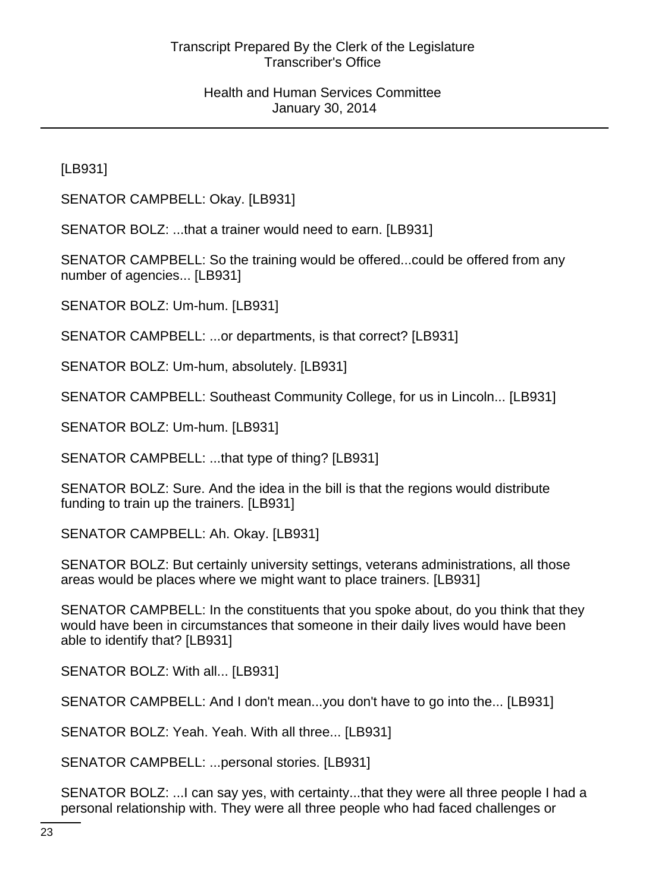[LB931]

SENATOR CAMPBELL: Okay. [LB931]

SENATOR BOLZ: ...that a trainer would need to earn. [LB931]

SENATOR CAMPBELL: So the training would be offered...could be offered from any number of agencies... [LB931]

SENATOR BOLZ: Um-hum. [LB931]

SENATOR CAMPBELL: ...or departments, is that correct? [LB931]

SENATOR BOLZ: Um-hum, absolutely. [LB931]

SENATOR CAMPBELL: Southeast Community College, for us in Lincoln... [LB931]

SENATOR BOLZ: Um-hum. [LB931]

SENATOR CAMPBELL: ...that type of thing? [LB931]

SENATOR BOLZ: Sure. And the idea in the bill is that the regions would distribute funding to train up the trainers. [LB931]

SENATOR CAMPBELL: Ah. Okay. [LB931]

SENATOR BOLZ: But certainly university settings, veterans administrations, all those areas would be places where we might want to place trainers. [LB931]

SENATOR CAMPBELL: In the constituents that you spoke about, do you think that they would have been in circumstances that someone in their daily lives would have been able to identify that? [LB931]

SENATOR BOLZ: With all... [LB931]

SENATOR CAMPBELL: And I don't mean...you don't have to go into the... [LB931]

SENATOR BOLZ: Yeah. Yeah. With all three... [LB931]

SENATOR CAMPBELL: ...personal stories. [LB931]

SENATOR BOLZ: ...I can say yes, with certainty...that they were all three people I had a personal relationship with. They were all three people who had faced challenges or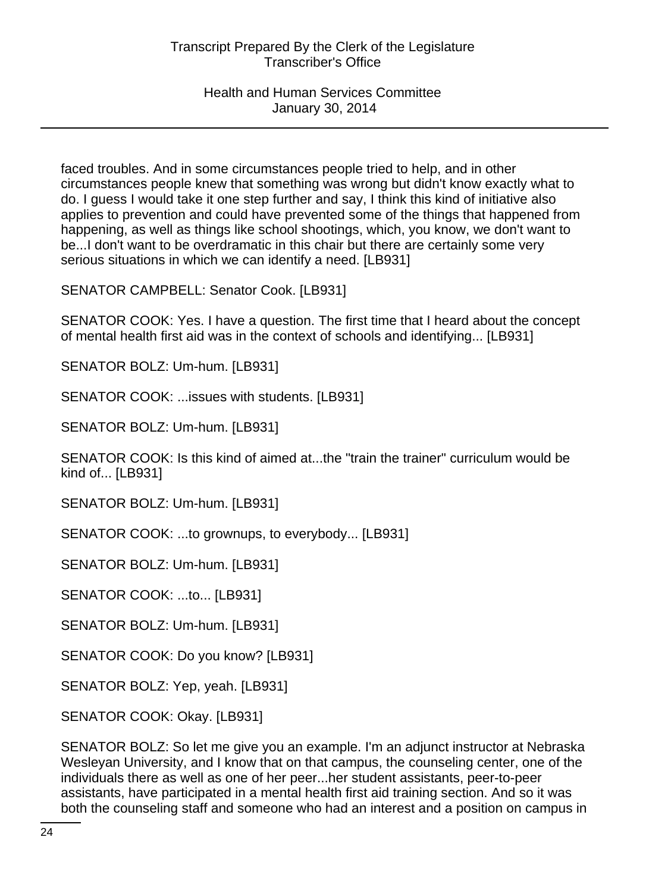faced troubles. And in some circumstances people tried to help, and in other circumstances people knew that something was wrong but didn't know exactly what to do. I guess I would take it one step further and say, I think this kind of initiative also applies to prevention and could have prevented some of the things that happened from happening, as well as things like school shootings, which, you know, we don't want to be...I don't want to be overdramatic in this chair but there are certainly some very serious situations in which we can identify a need. [LB931]

SENATOR CAMPBELL: Senator Cook. [LB931]

SENATOR COOK: Yes. I have a question. The first time that I heard about the concept of mental health first aid was in the context of schools and identifying... [LB931]

SENATOR BOLZ: Um-hum. [LB931]

SENATOR COOK: ...issues with students. [LB931]

SENATOR BOLZ: Um-hum. [LB931]

SENATOR COOK: Is this kind of aimed at...the "train the trainer" curriculum would be kind of... [LB931]

SENATOR BOLZ: Um-hum. [LB931]

SENATOR COOK: ...to grownups, to everybody... [LB931]

SENATOR BOLZ: Um-hum. [LB931]

SENATOR COOK: ...to... [LB931]

SENATOR BOLZ: Um-hum. [LB931]

SENATOR COOK: Do you know? [LB931]

SENATOR BOLZ: Yep, yeah. [LB931]

SENATOR COOK: Okay. [LB931]

SENATOR BOLZ: So let me give you an example. I'm an adjunct instructor at Nebraska Wesleyan University, and I know that on that campus, the counseling center, one of the individuals there as well as one of her peer...her student assistants, peer-to-peer assistants, have participated in a mental health first aid training section. And so it was both the counseling staff and someone who had an interest and a position on campus in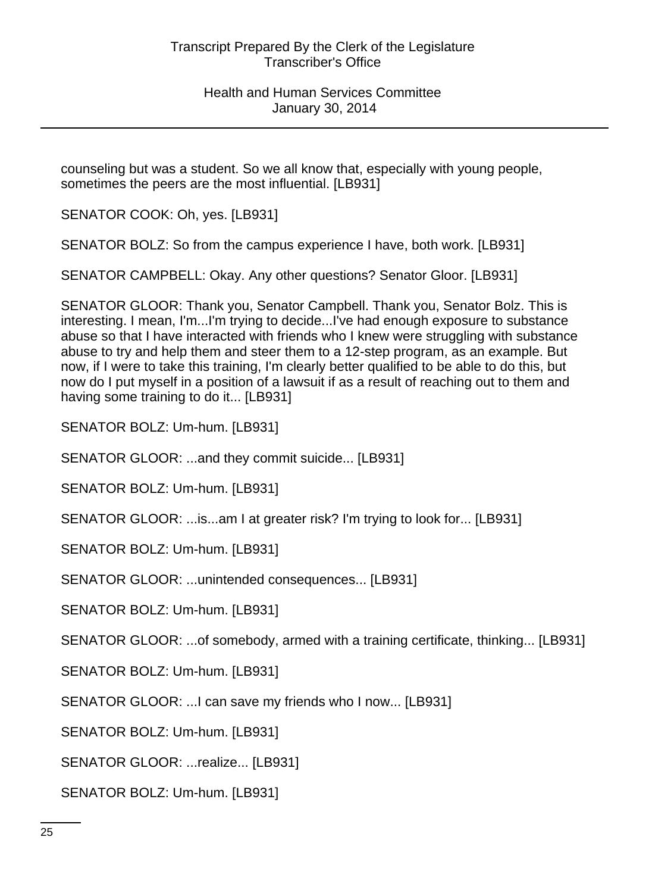counseling but was a student. So we all know that, especially with young people, sometimes the peers are the most influential. [LB931]

SENATOR COOK: Oh, yes. [LB931]

SENATOR BOLZ: So from the campus experience I have, both work. [LB931]

SENATOR CAMPBELL: Okay. Any other questions? Senator Gloor. [LB931]

SENATOR GLOOR: Thank you, Senator Campbell. Thank you, Senator Bolz. This is interesting. I mean, I'm...I'm trying to decide...I've had enough exposure to substance abuse so that I have interacted with friends who I knew were struggling with substance abuse to try and help them and steer them to a 12-step program, as an example. But now, if I were to take this training, I'm clearly better qualified to be able to do this, but now do I put myself in a position of a lawsuit if as a result of reaching out to them and having some training to do it... [LB931]

SENATOR BOLZ: Um-hum. [LB931]

SENATOR GLOOR: ...and they commit suicide... [LB931]

SENATOR BOLZ: Um-hum. [LB931]

SENATOR GLOOR: ...is...am I at greater risk? I'm trying to look for... [LB931]

SENATOR BOLZ: Um-hum. [LB931]

SENATOR GLOOR: ...unintended consequences... [LB931]

SENATOR BOLZ: Um-hum. [LB931]

SENATOR GLOOR: ...of somebody, armed with a training certificate, thinking... [LB931]

SENATOR BOLZ: Um-hum. [LB931]

SENATOR GLOOR: ...I can save my friends who I now... [LB931]

SENATOR BOLZ: Um-hum. [LB931]

SENATOR GLOOR: ...realize... [LB931]

SENATOR BOLZ: Um-hum. [LB931]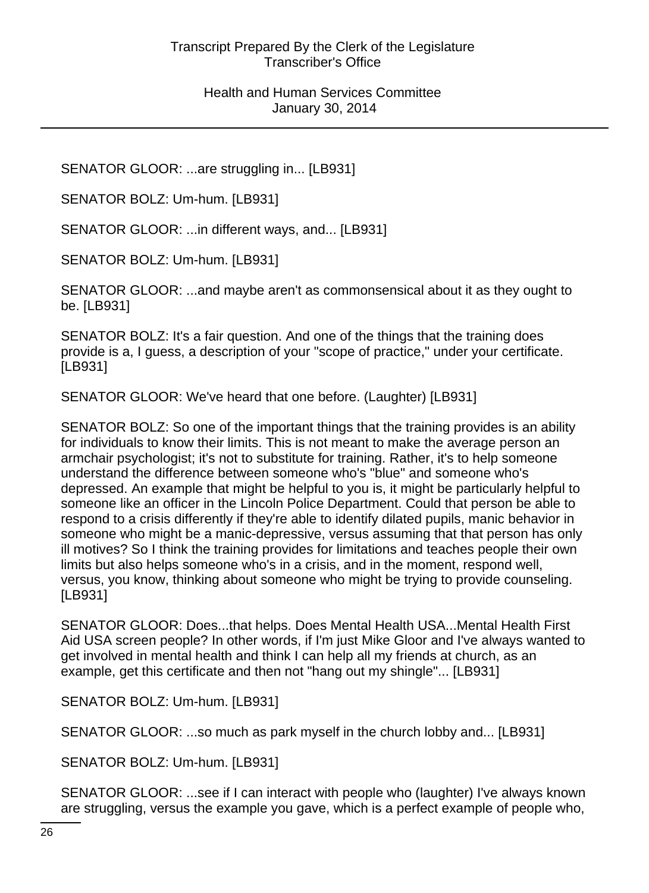SENATOR GLOOR: ...are struggling in... [LB931]

SENATOR BOLZ: Um-hum. [LB931]

SENATOR GLOOR: ...in different ways, and... [LB931]

SENATOR BOLZ: Um-hum. [LB931]

SENATOR GLOOR: ...and maybe aren't as commonsensical about it as they ought to be. [LB931]

SENATOR BOLZ: It's a fair question. And one of the things that the training does provide is a, I guess, a description of your "scope of practice," under your certificate. [LB931]

SENATOR GLOOR: We've heard that one before. (Laughter) [LB931]

SENATOR BOLZ: So one of the important things that the training provides is an ability for individuals to know their limits. This is not meant to make the average person an armchair psychologist; it's not to substitute for training. Rather, it's to help someone understand the difference between someone who's "blue" and someone who's depressed. An example that might be helpful to you is, it might be particularly helpful to someone like an officer in the Lincoln Police Department. Could that person be able to respond to a crisis differently if they're able to identify dilated pupils, manic behavior in someone who might be a manic-depressive, versus assuming that that person has only ill motives? So I think the training provides for limitations and teaches people their own limits but also helps someone who's in a crisis, and in the moment, respond well, versus, you know, thinking about someone who might be trying to provide counseling. [LB931]

SENATOR GLOOR: Does...that helps. Does Mental Health USA...Mental Health First Aid USA screen people? In other words, if I'm just Mike Gloor and I've always wanted to get involved in mental health and think I can help all my friends at church, as an example, get this certificate and then not "hang out my shingle"... [LB931]

SENATOR BOLZ: Um-hum. [LB931]

SENATOR GLOOR: ...so much as park myself in the church lobby and... [LB931]

SENATOR BOLZ: Um-hum. [LB931]

SENATOR GLOOR: ...see if I can interact with people who (laughter) I've always known are struggling, versus the example you gave, which is a perfect example of people who,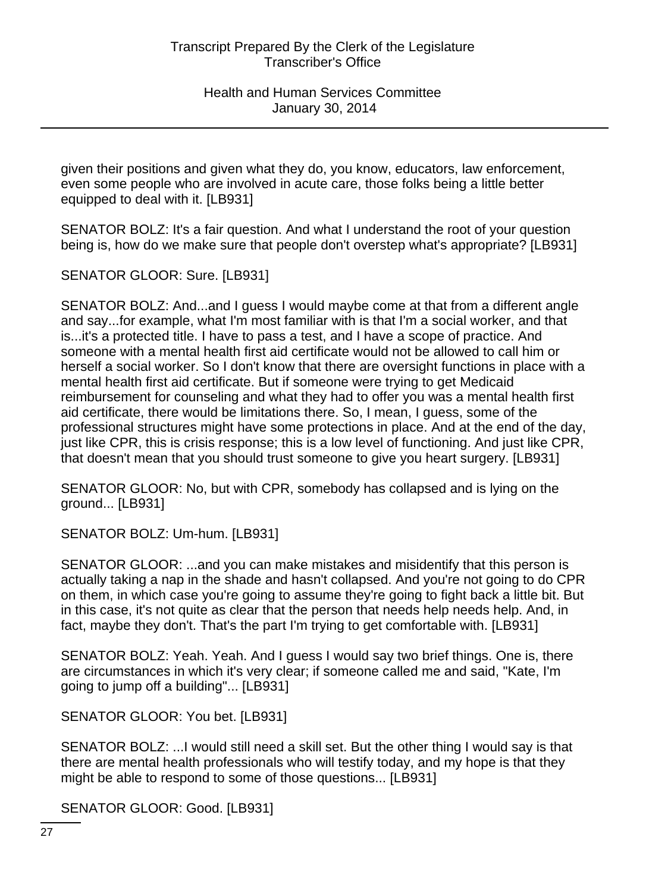given their positions and given what they do, you know, educators, law enforcement, even some people who are involved in acute care, those folks being a little better equipped to deal with it. [LB931]

SENATOR BOLZ: It's a fair question. And what I understand the root of your question being is, how do we make sure that people don't overstep what's appropriate? [LB931]

SENATOR GLOOR: Sure. [LB931]

SENATOR BOLZ: And...and I guess I would maybe come at that from a different angle and say...for example, what I'm most familiar with is that I'm a social worker, and that is...it's a protected title. I have to pass a test, and I have a scope of practice. And someone with a mental health first aid certificate would not be allowed to call him or herself a social worker. So I don't know that there are oversight functions in place with a mental health first aid certificate. But if someone were trying to get Medicaid reimbursement for counseling and what they had to offer you was a mental health first aid certificate, there would be limitations there. So, I mean, I guess, some of the professional structures might have some protections in place. And at the end of the day, just like CPR, this is crisis response; this is a low level of functioning. And just like CPR, that doesn't mean that you should trust someone to give you heart surgery. [LB931]

SENATOR GLOOR: No, but with CPR, somebody has collapsed and is lying on the ground... [LB931]

SENATOR BOLZ: Um-hum. [LB931]

SENATOR GLOOR: ...and you can make mistakes and misidentify that this person is actually taking a nap in the shade and hasn't collapsed. And you're not going to do CPR on them, in which case you're going to assume they're going to fight back a little bit. But in this case, it's not quite as clear that the person that needs help needs help. And, in fact, maybe they don't. That's the part I'm trying to get comfortable with. [LB931]

SENATOR BOLZ: Yeah. Yeah. And I guess I would say two brief things. One is, there are circumstances in which it's very clear; if someone called me and said, "Kate, I'm going to jump off a building"... [LB931]

SENATOR GLOOR: You bet. [LB931]

SENATOR BOLZ: ...I would still need a skill set. But the other thing I would say is that there are mental health professionals who will testify today, and my hope is that they might be able to respond to some of those questions... [LB931]

SENATOR GLOOR: Good. [LB931]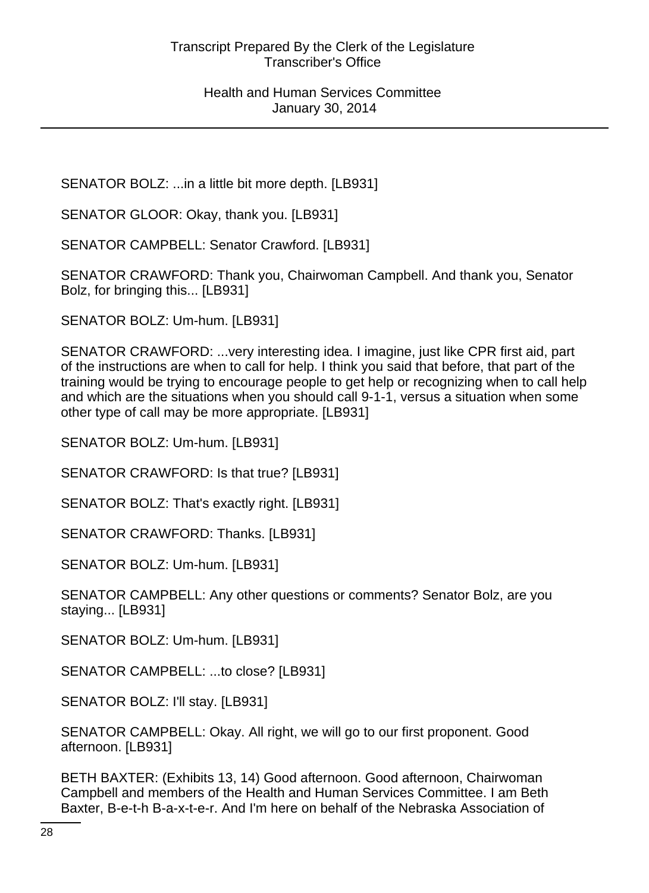SENATOR BOLZ: ...in a little bit more depth. [LB931]

SENATOR GLOOR: Okay, thank you. [LB931]

SENATOR CAMPBELL: Senator Crawford. [LB931]

SENATOR CRAWFORD: Thank you, Chairwoman Campbell. And thank you, Senator Bolz, for bringing this... [LB931]

SENATOR BOLZ: Um-hum. [LB931]

SENATOR CRAWFORD: ...very interesting idea. I imagine, just like CPR first aid, part of the instructions are when to call for help. I think you said that before, that part of the training would be trying to encourage people to get help or recognizing when to call help and which are the situations when you should call 9-1-1, versus a situation when some other type of call may be more appropriate. [LB931]

SENATOR BOLZ: Um-hum. [LB931]

SENATOR CRAWFORD: Is that true? [LB931]

SENATOR BOLZ: That's exactly right. [LB931]

SENATOR CRAWFORD: Thanks. [LB931]

SENATOR BOLZ: Um-hum. [LB931]

SENATOR CAMPBELL: Any other questions or comments? Senator Bolz, are you staying... [LB931]

SENATOR BOLZ: Um-hum. [LB931]

SENATOR CAMPBELL: ...to close? [LB931]

SENATOR BOLZ: I'll stay. [LB931]

SENATOR CAMPBELL: Okay. All right, we will go to our first proponent. Good afternoon. [LB931]

BETH BAXTER: (Exhibits 13, 14) Good afternoon. Good afternoon, Chairwoman Campbell and members of the Health and Human Services Committee. I am Beth Baxter, B-e-t-h B-a-x-t-e-r. And I'm here on behalf of the Nebraska Association of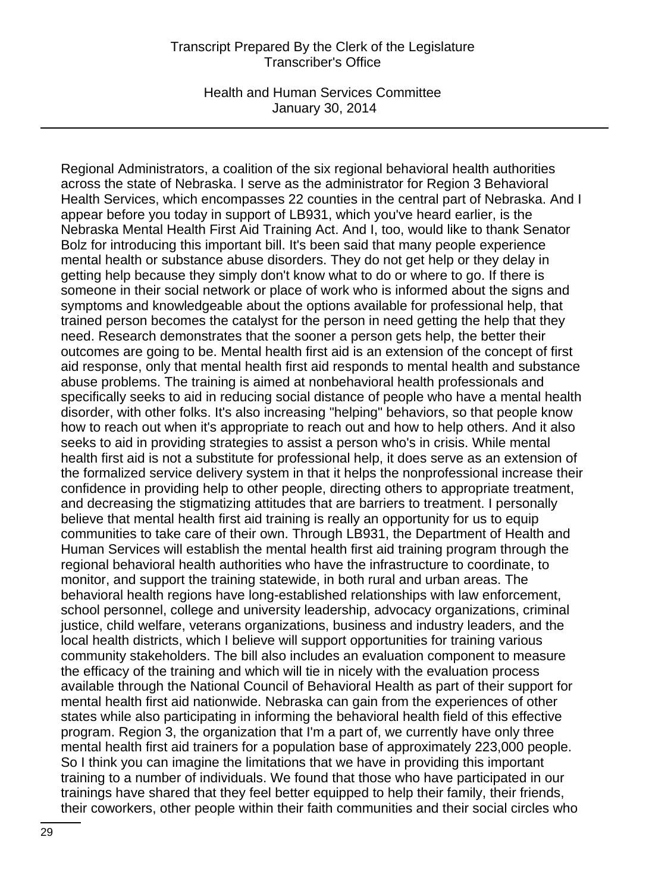Health and Human Services Committee January 30, 2014

Regional Administrators, a coalition of the six regional behavioral health authorities across the state of Nebraska. I serve as the administrator for Region 3 Behavioral Health Services, which encompasses 22 counties in the central part of Nebraska. And I appear before you today in support of LB931, which you've heard earlier, is the Nebraska Mental Health First Aid Training Act. And I, too, would like to thank Senator Bolz for introducing this important bill. It's been said that many people experience mental health or substance abuse disorders. They do not get help or they delay in getting help because they simply don't know what to do or where to go. If there is someone in their social network or place of work who is informed about the signs and symptoms and knowledgeable about the options available for professional help, that trained person becomes the catalyst for the person in need getting the help that they need. Research demonstrates that the sooner a person gets help, the better their outcomes are going to be. Mental health first aid is an extension of the concept of first aid response, only that mental health first aid responds to mental health and substance abuse problems. The training is aimed at nonbehavioral health professionals and specifically seeks to aid in reducing social distance of people who have a mental health disorder, with other folks. It's also increasing "helping" behaviors, so that people know how to reach out when it's appropriate to reach out and how to help others. And it also seeks to aid in providing strategies to assist a person who's in crisis. While mental health first aid is not a substitute for professional help, it does serve as an extension of the formalized service delivery system in that it helps the nonprofessional increase their confidence in providing help to other people, directing others to appropriate treatment, and decreasing the stigmatizing attitudes that are barriers to treatment. I personally believe that mental health first aid training is really an opportunity for us to equip communities to take care of their own. Through LB931, the Department of Health and Human Services will establish the mental health first aid training program through the regional behavioral health authorities who have the infrastructure to coordinate, to monitor, and support the training statewide, in both rural and urban areas. The behavioral health regions have long-established relationships with law enforcement, school personnel, college and university leadership, advocacy organizations, criminal justice, child welfare, veterans organizations, business and industry leaders, and the local health districts, which I believe will support opportunities for training various community stakeholders. The bill also includes an evaluation component to measure the efficacy of the training and which will tie in nicely with the evaluation process available through the National Council of Behavioral Health as part of their support for mental health first aid nationwide. Nebraska can gain from the experiences of other states while also participating in informing the behavioral health field of this effective program. Region 3, the organization that I'm a part of, we currently have only three mental health first aid trainers for a population base of approximately 223,000 people. So I think you can imagine the limitations that we have in providing this important training to a number of individuals. We found that those who have participated in our trainings have shared that they feel better equipped to help their family, their friends, their coworkers, other people within their faith communities and their social circles who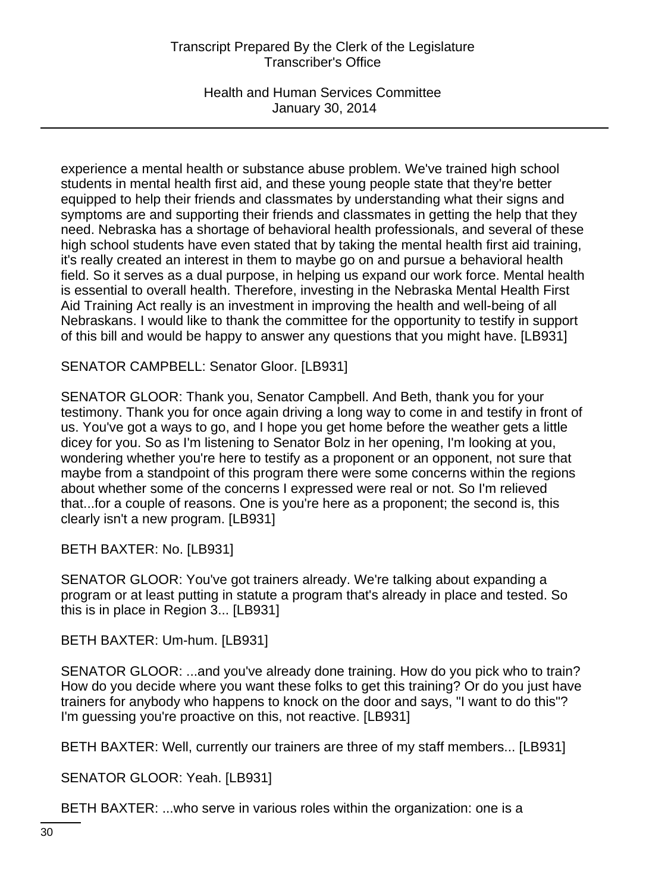Health and Human Services Committee January 30, 2014

experience a mental health or substance abuse problem. We've trained high school students in mental health first aid, and these young people state that they're better equipped to help their friends and classmates by understanding what their signs and symptoms are and supporting their friends and classmates in getting the help that they need. Nebraska has a shortage of behavioral health professionals, and several of these high school students have even stated that by taking the mental health first aid training, it's really created an interest in them to maybe go on and pursue a behavioral health field. So it serves as a dual purpose, in helping us expand our work force. Mental health is essential to overall health. Therefore, investing in the Nebraska Mental Health First Aid Training Act really is an investment in improving the health and well-being of all Nebraskans. I would like to thank the committee for the opportunity to testify in support of this bill and would be happy to answer any questions that you might have. [LB931]

SENATOR CAMPBELL: Senator Gloor. [LB931]

SENATOR GLOOR: Thank you, Senator Campbell. And Beth, thank you for your testimony. Thank you for once again driving a long way to come in and testify in front of us. You've got a ways to go, and I hope you get home before the weather gets a little dicey for you. So as I'm listening to Senator Bolz in her opening, I'm looking at you, wondering whether you're here to testify as a proponent or an opponent, not sure that maybe from a standpoint of this program there were some concerns within the regions about whether some of the concerns I expressed were real or not. So I'm relieved that...for a couple of reasons. One is you're here as a proponent; the second is, this clearly isn't a new program. [LB931]

BETH BAXTER: No. [LB931]

SENATOR GLOOR: You've got trainers already. We're talking about expanding a program or at least putting in statute a program that's already in place and tested. So this is in place in Region 3... [LB931]

BETH BAXTER: Um-hum. [LB931]

SENATOR GLOOR: ...and you've already done training. How do you pick who to train? How do you decide where you want these folks to get this training? Or do you just have trainers for anybody who happens to knock on the door and says, "I want to do this"? I'm guessing you're proactive on this, not reactive. [LB931]

BETH BAXTER: Well, currently our trainers are three of my staff members... [LB931]

SENATOR GLOOR: Yeah. [LB931]

BETH BAXTER: ...who serve in various roles within the organization: one is a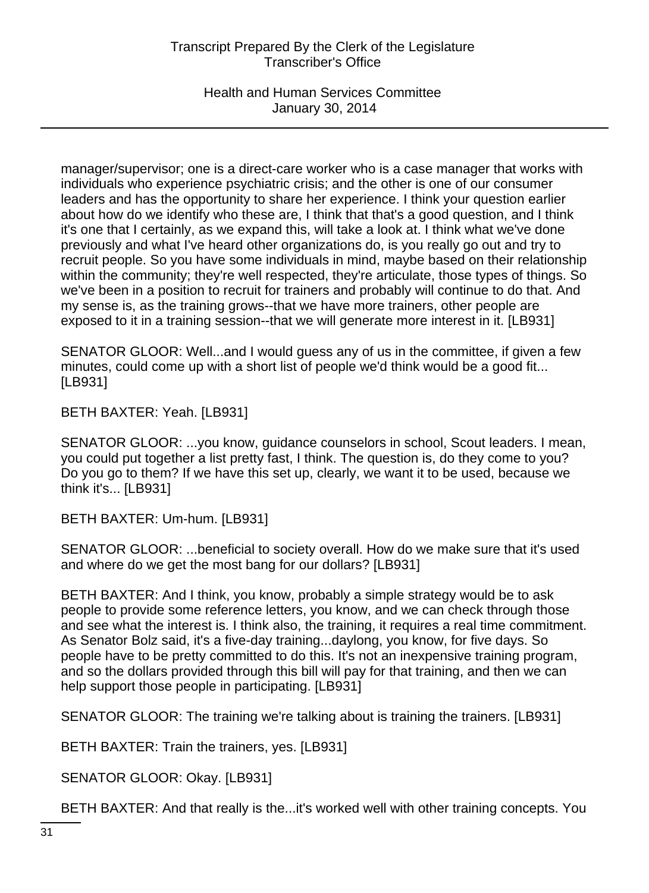Health and Human Services Committee January 30, 2014

manager/supervisor; one is a direct-care worker who is a case manager that works with individuals who experience psychiatric crisis; and the other is one of our consumer leaders and has the opportunity to share her experience. I think your question earlier about how do we identify who these are, I think that that's a good question, and I think it's one that I certainly, as we expand this, will take a look at. I think what we've done previously and what I've heard other organizations do, is you really go out and try to recruit people. So you have some individuals in mind, maybe based on their relationship within the community; they're well respected, they're articulate, those types of things. So we've been in a position to recruit for trainers and probably will continue to do that. And my sense is, as the training grows--that we have more trainers, other people are exposed to it in a training session--that we will generate more interest in it. [LB931]

SENATOR GLOOR: Well...and I would guess any of us in the committee, if given a few minutes, could come up with a short list of people we'd think would be a good fit... [LB931]

BETH BAXTER: Yeah. [LB931]

SENATOR GLOOR: ...you know, guidance counselors in school, Scout leaders. I mean, you could put together a list pretty fast, I think. The question is, do they come to you? Do you go to them? If we have this set up, clearly, we want it to be used, because we think it's... [LB931]

BETH BAXTER: Um-hum. [LB931]

SENATOR GLOOR: ...beneficial to society overall. How do we make sure that it's used and where do we get the most bang for our dollars? [LB931]

BETH BAXTER: And I think, you know, probably a simple strategy would be to ask people to provide some reference letters, you know, and we can check through those and see what the interest is. I think also, the training, it requires a real time commitment. As Senator Bolz said, it's a five-day training...daylong, you know, for five days. So people have to be pretty committed to do this. It's not an inexpensive training program, and so the dollars provided through this bill will pay for that training, and then we can help support those people in participating. [LB931]

SENATOR GLOOR: The training we're talking about is training the trainers. [LB931]

BETH BAXTER: Train the trainers, yes. [LB931]

SENATOR GLOOR: Okay. [LB931]

BETH BAXTER: And that really is the...it's worked well with other training concepts. You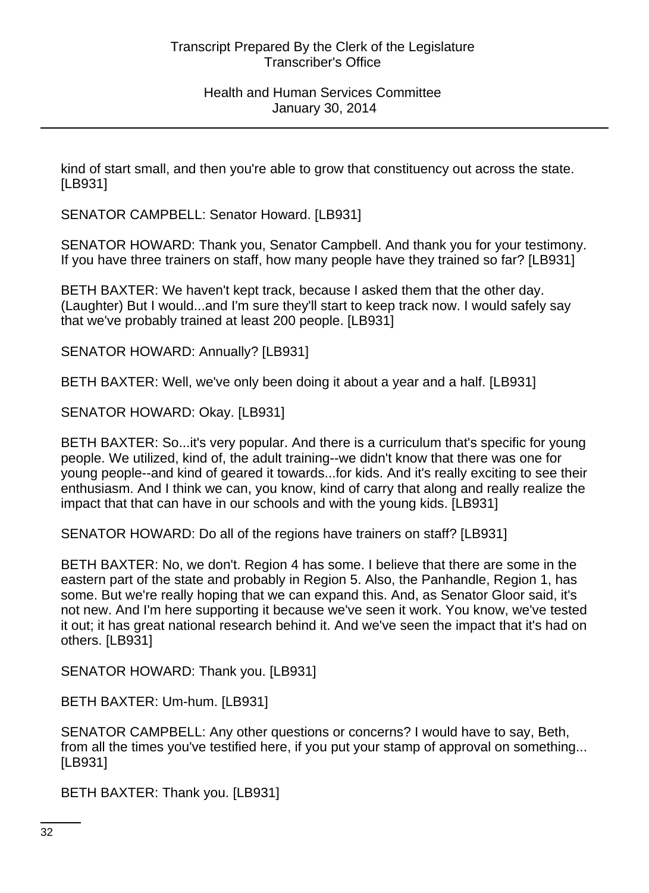kind of start small, and then you're able to grow that constituency out across the state. [LB931]

SENATOR CAMPBELL: Senator Howard. [LB931]

SENATOR HOWARD: Thank you, Senator Campbell. And thank you for your testimony. If you have three trainers on staff, how many people have they trained so far? [LB931]

BETH BAXTER: We haven't kept track, because I asked them that the other day. (Laughter) But I would...and I'm sure they'll start to keep track now. I would safely say that we've probably trained at least 200 people. [LB931]

SENATOR HOWARD: Annually? [LB931]

BETH BAXTER: Well, we've only been doing it about a year and a half. [LB931]

SENATOR HOWARD: Okay. [LB931]

BETH BAXTER: So...it's very popular. And there is a curriculum that's specific for young people. We utilized, kind of, the adult training--we didn't know that there was one for young people--and kind of geared it towards...for kids. And it's really exciting to see their enthusiasm. And I think we can, you know, kind of carry that along and really realize the impact that that can have in our schools and with the young kids. [LB931]

SENATOR HOWARD: Do all of the regions have trainers on staff? [LB931]

BETH BAXTER: No, we don't. Region 4 has some. I believe that there are some in the eastern part of the state and probably in Region 5. Also, the Panhandle, Region 1, has some. But we're really hoping that we can expand this. And, as Senator Gloor said, it's not new. And I'm here supporting it because we've seen it work. You know, we've tested it out; it has great national research behind it. And we've seen the impact that it's had on others. [LB931]

SENATOR HOWARD: Thank you. [LB931]

BETH BAXTER: Um-hum. [LB931]

SENATOR CAMPBELL: Any other questions or concerns? I would have to say, Beth, from all the times you've testified here, if you put your stamp of approval on something... [LB931]

BETH BAXTER: Thank you. [LB931]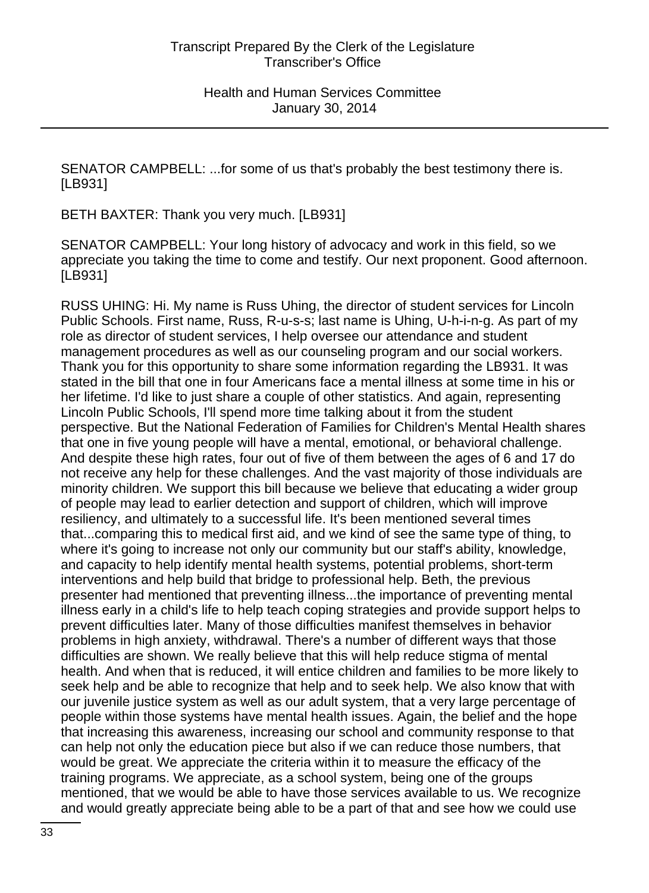SENATOR CAMPBELL: ...for some of us that's probably the best testimony there is. [LB931]

BETH BAXTER: Thank you very much. [LB931]

SENATOR CAMPBELL: Your long history of advocacy and work in this field, so we appreciate you taking the time to come and testify. Our next proponent. Good afternoon. [LB931]

RUSS UHING: Hi. My name is Russ Uhing, the director of student services for Lincoln Public Schools. First name, Russ, R-u-s-s; last name is Uhing, U-h-i-n-g. As part of my role as director of student services, I help oversee our attendance and student management procedures as well as our counseling program and our social workers. Thank you for this opportunity to share some information regarding the LB931. It was stated in the bill that one in four Americans face a mental illness at some time in his or her lifetime. I'd like to just share a couple of other statistics. And again, representing Lincoln Public Schools, I'll spend more time talking about it from the student perspective. But the National Federation of Families for Children's Mental Health shares that one in five young people will have a mental, emotional, or behavioral challenge. And despite these high rates, four out of five of them between the ages of 6 and 17 do not receive any help for these challenges. And the vast majority of those individuals are minority children. We support this bill because we believe that educating a wider group of people may lead to earlier detection and support of children, which will improve resiliency, and ultimately to a successful life. It's been mentioned several times that...comparing this to medical first aid, and we kind of see the same type of thing, to where it's going to increase not only our community but our staff's ability, knowledge, and capacity to help identify mental health systems, potential problems, short-term interventions and help build that bridge to professional help. Beth, the previous presenter had mentioned that preventing illness...the importance of preventing mental illness early in a child's life to help teach coping strategies and provide support helps to prevent difficulties later. Many of those difficulties manifest themselves in behavior problems in high anxiety, withdrawal. There's a number of different ways that those difficulties are shown. We really believe that this will help reduce stigma of mental health. And when that is reduced, it will entice children and families to be more likely to seek help and be able to recognize that help and to seek help. We also know that with our juvenile justice system as well as our adult system, that a very large percentage of people within those systems have mental health issues. Again, the belief and the hope that increasing this awareness, increasing our school and community response to that can help not only the education piece but also if we can reduce those numbers, that would be great. We appreciate the criteria within it to measure the efficacy of the training programs. We appreciate, as a school system, being one of the groups mentioned, that we would be able to have those services available to us. We recognize and would greatly appreciate being able to be a part of that and see how we could use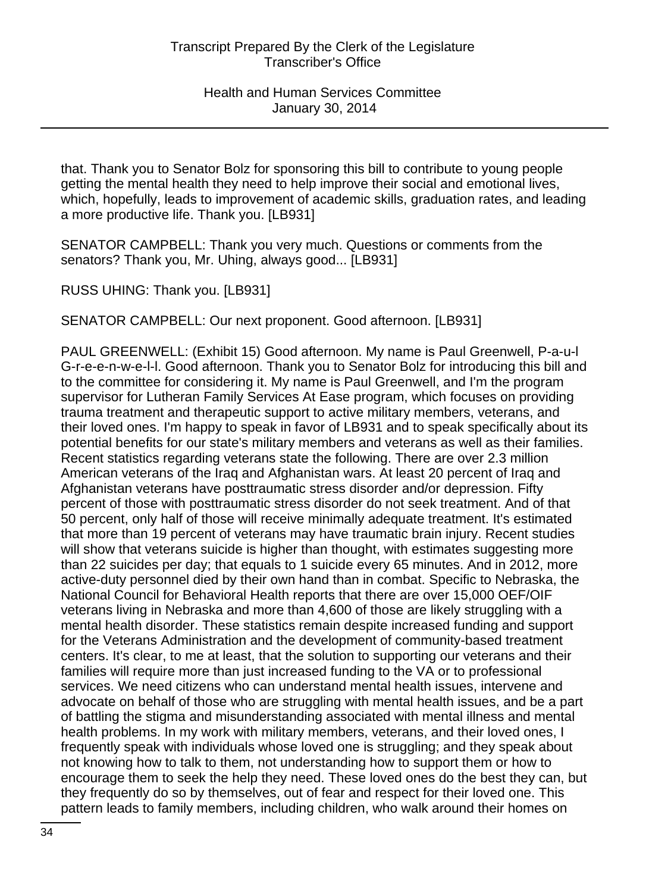that. Thank you to Senator Bolz for sponsoring this bill to contribute to young people getting the mental health they need to help improve their social and emotional lives, which, hopefully, leads to improvement of academic skills, graduation rates, and leading a more productive life. Thank you. [LB931]

SENATOR CAMPBELL: Thank you very much. Questions or comments from the senators? Thank you, Mr. Uhing, always good... [LB931]

RUSS UHING: Thank you. [LB931]

SENATOR CAMPBELL: Our next proponent. Good afternoon. [LB931]

PAUL GREENWELL: (Exhibit 15) Good afternoon. My name is Paul Greenwell, P-a-u-l G-r-e-e-n-w-e-l-l. Good afternoon. Thank you to Senator Bolz for introducing this bill and to the committee for considering it. My name is Paul Greenwell, and I'm the program supervisor for Lutheran Family Services At Ease program, which focuses on providing trauma treatment and therapeutic support to active military members, veterans, and their loved ones. I'm happy to speak in favor of LB931 and to speak specifically about its potential benefits for our state's military members and veterans as well as their families. Recent statistics regarding veterans state the following. There are over 2.3 million American veterans of the Iraq and Afghanistan wars. At least 20 percent of Iraq and Afghanistan veterans have posttraumatic stress disorder and/or depression. Fifty percent of those with posttraumatic stress disorder do not seek treatment. And of that 50 percent, only half of those will receive minimally adequate treatment. It's estimated that more than 19 percent of veterans may have traumatic brain injury. Recent studies will show that veterans suicide is higher than thought, with estimates suggesting more than 22 suicides per day; that equals to 1 suicide every 65 minutes. And in 2012, more active-duty personnel died by their own hand than in combat. Specific to Nebraska, the National Council for Behavioral Health reports that there are over 15,000 OEF/OIF veterans living in Nebraska and more than 4,600 of those are likely struggling with a mental health disorder. These statistics remain despite increased funding and support for the Veterans Administration and the development of community-based treatment centers. It's clear, to me at least, that the solution to supporting our veterans and their families will require more than just increased funding to the VA or to professional services. We need citizens who can understand mental health issues, intervene and advocate on behalf of those who are struggling with mental health issues, and be a part of battling the stigma and misunderstanding associated with mental illness and mental health problems. In my work with military members, veterans, and their loved ones, I frequently speak with individuals whose loved one is struggling; and they speak about not knowing how to talk to them, not understanding how to support them or how to encourage them to seek the help they need. These loved ones do the best they can, but they frequently do so by themselves, out of fear and respect for their loved one. This pattern leads to family members, including children, who walk around their homes on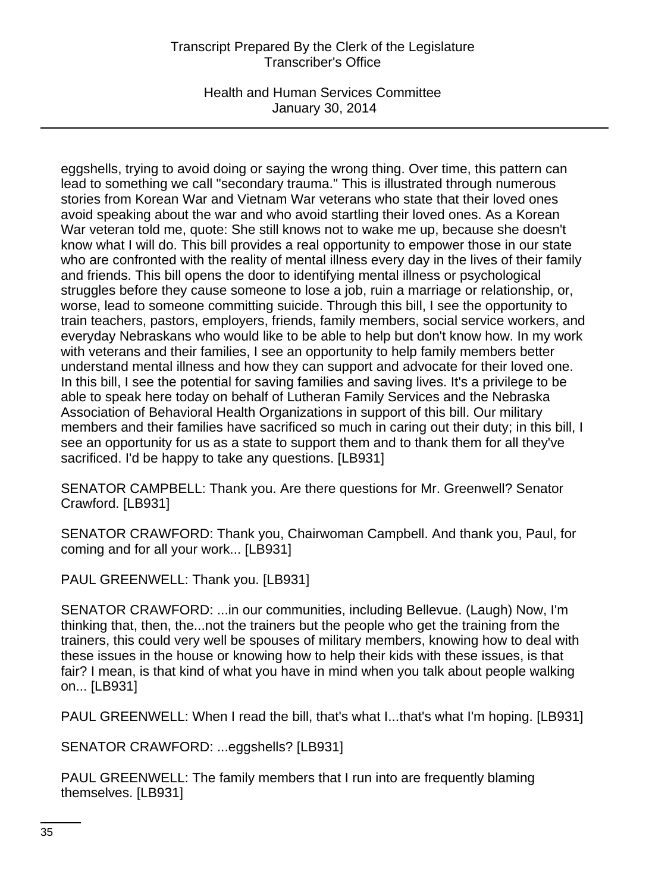Health and Human Services Committee January 30, 2014

eggshells, trying to avoid doing or saying the wrong thing. Over time, this pattern can lead to something we call "secondary trauma." This is illustrated through numerous stories from Korean War and Vietnam War veterans who state that their loved ones avoid speaking about the war and who avoid startling their loved ones. As a Korean War veteran told me, quote: She still knows not to wake me up, because she doesn't know what I will do. This bill provides a real opportunity to empower those in our state who are confronted with the reality of mental illness every day in the lives of their family and friends. This bill opens the door to identifying mental illness or psychological struggles before they cause someone to lose a job, ruin a marriage or relationship, or, worse, lead to someone committing suicide. Through this bill, I see the opportunity to train teachers, pastors, employers, friends, family members, social service workers, and everyday Nebraskans who would like to be able to help but don't know how. In my work with veterans and their families, I see an opportunity to help family members better understand mental illness and how they can support and advocate for their loved one. In this bill, I see the potential for saving families and saving lives. It's a privilege to be able to speak here today on behalf of Lutheran Family Services and the Nebraska Association of Behavioral Health Organizations in support of this bill. Our military members and their families have sacrificed so much in caring out their duty; in this bill, I see an opportunity for us as a state to support them and to thank them for all they've sacrificed. I'd be happy to take any questions. [LB931]

SENATOR CAMPBELL: Thank you. Are there questions for Mr. Greenwell? Senator Crawford. [LB931]

SENATOR CRAWFORD: Thank you, Chairwoman Campbell. And thank you, Paul, for coming and for all your work... [LB931]

PAUL GREENWELL: Thank you. [LB931]

SENATOR CRAWFORD: ...in our communities, including Bellevue. (Laugh) Now, I'm thinking that, then, the...not the trainers but the people who get the training from the trainers, this could very well be spouses of military members, knowing how to deal with these issues in the house or knowing how to help their kids with these issues, is that fair? I mean, is that kind of what you have in mind when you talk about people walking on... [LB931]

PAUL GREENWELL: When I read the bill, that's what I...that's what I'm hoping. [LB931]

SENATOR CRAWFORD: ...eggshells? [LB931]

PAUL GREENWELL: The family members that I run into are frequently blaming themselves. [LB931]